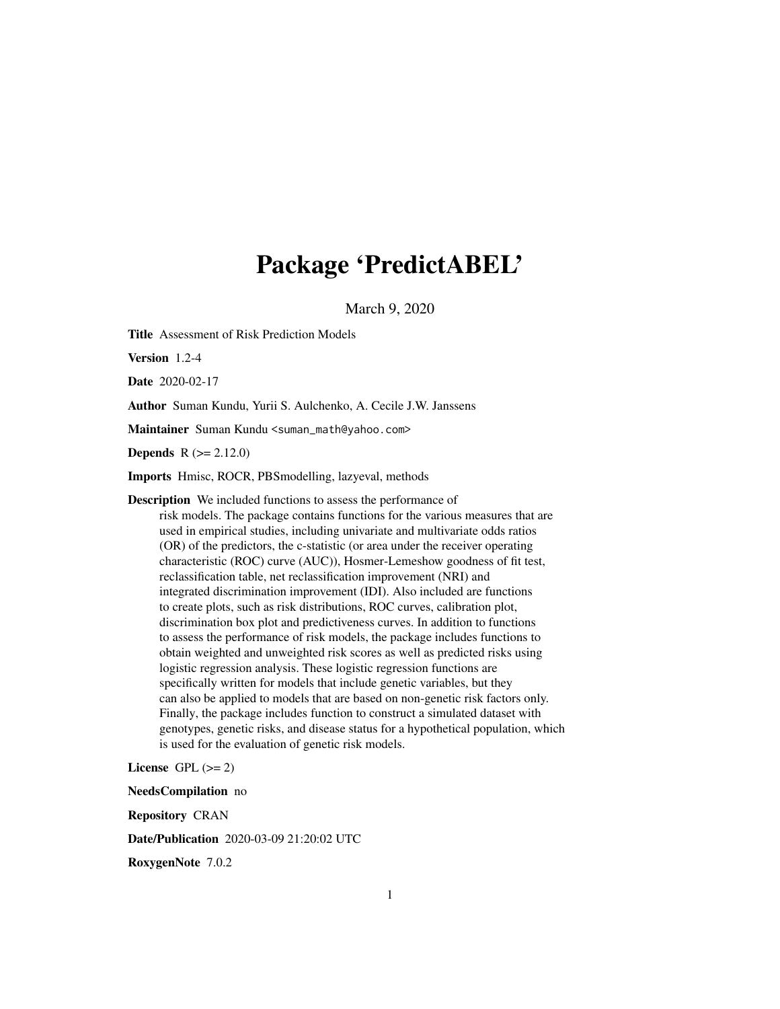# Package 'PredictABEL'

March 9, 2020

Title Assessment of Risk Prediction Models

Version 1.2-4

Date 2020-02-17

Author Suman Kundu, Yurii S. Aulchenko, A. Cecile J.W. Janssens

Maintainer Suman Kundu <suman\_math@yahoo.com>

**Depends**  $R (= 2.12.0)$ 

Imports Hmisc, ROCR, PBSmodelling, lazyeval, methods

Description We included functions to assess the performance of risk models. The package contains functions for the various measures that are used in empirical studies, including univariate and multivariate odds ratios (OR) of the predictors, the c-statistic (or area under the receiver operating characteristic (ROC) curve (AUC)), Hosmer-Lemeshow goodness of fit test, reclassification table, net reclassification improvement (NRI) and integrated discrimination improvement (IDI). Also included are functions to create plots, such as risk distributions, ROC curves, calibration plot, discrimination box plot and predictiveness curves. In addition to functions to assess the performance of risk models, the package includes functions to obtain weighted and unweighted risk scores as well as predicted risks using logistic regression analysis. These logistic regression functions are specifically written for models that include genetic variables, but they can also be applied to models that are based on non-genetic risk factors only. Finally, the package includes function to construct a simulated dataset with genotypes, genetic risks, and disease status for a hypothetical population, which is used for the evaluation of genetic risk models.

License GPL  $(>= 2)$ 

NeedsCompilation no Repository CRAN Date/Publication 2020-03-09 21:20:02 UTC RoxygenNote 7.0.2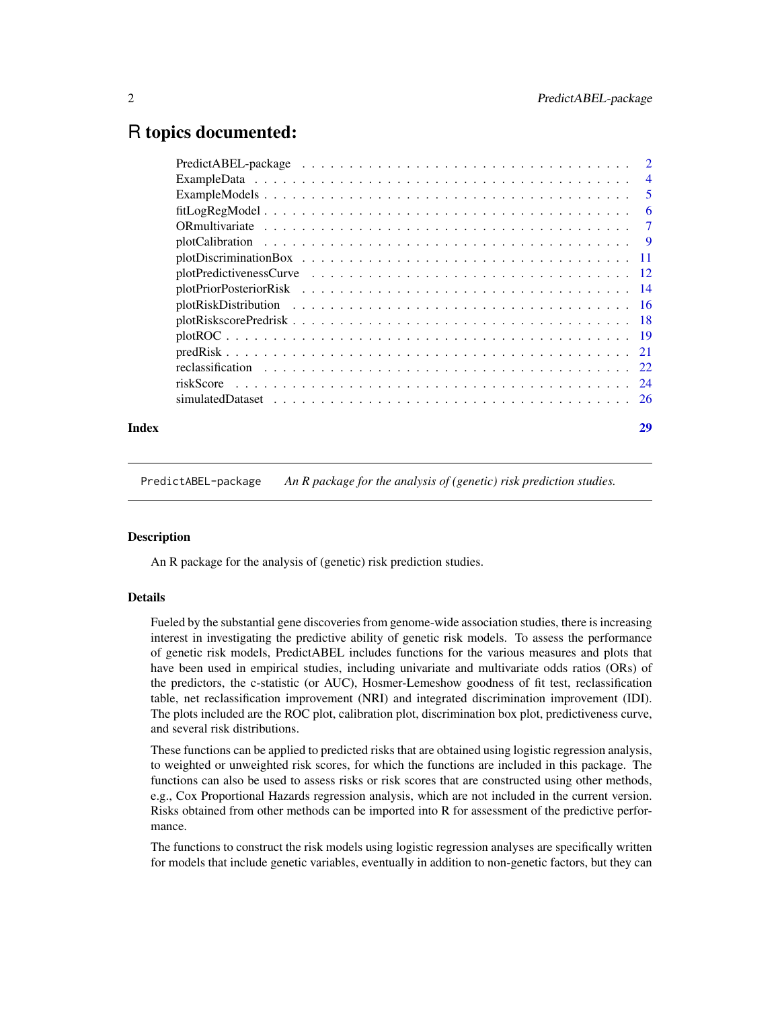# <span id="page-1-0"></span>R topics documented:

| Index | 29 |
|-------|----|

PredictABEL-package *An R package for the analysis of (genetic) risk prediction studies.*

# Description

An R package for the analysis of (genetic) risk prediction studies.

# Details

Fueled by the substantial gene discoveries from genome-wide association studies, there is increasing interest in investigating the predictive ability of genetic risk models. To assess the performance of genetic risk models, PredictABEL includes functions for the various measures and plots that have been used in empirical studies, including univariate and multivariate odds ratios (ORs) of the predictors, the c-statistic (or AUC), Hosmer-Lemeshow goodness of fit test, reclassification table, net reclassification improvement (NRI) and integrated discrimination improvement (IDI). The plots included are the ROC plot, calibration plot, discrimination box plot, predictiveness curve, and several risk distributions.

These functions can be applied to predicted risks that are obtained using logistic regression analysis, to weighted or unweighted risk scores, for which the functions are included in this package. The functions can also be used to assess risks or risk scores that are constructed using other methods, e.g., Cox Proportional Hazards regression analysis, which are not included in the current version. Risks obtained from other methods can be imported into R for assessment of the predictive performance.

The functions to construct the risk models using logistic regression analyses are specifically written for models that include genetic variables, eventually in addition to non-genetic factors, but they can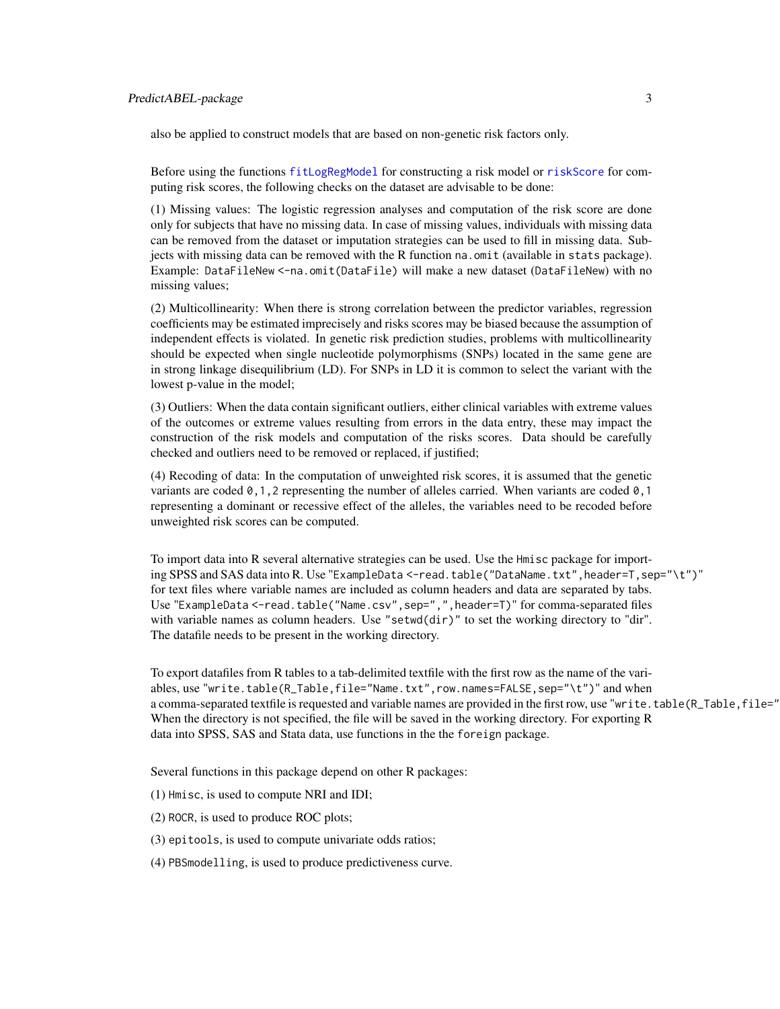<span id="page-2-0"></span>also be applied to construct models that are based on non-genetic risk factors only.

Before using the functions [fitLogRegModel](#page-5-1) for constructing a risk model or [riskScore](#page-23-1) for computing risk scores, the following checks on the dataset are advisable to be done:

(1) Missing values: The logistic regression analyses and computation of the risk score are done only for subjects that have no missing data. In case of missing values, individuals with missing data can be removed from the dataset or imputation strategies can be used to fill in missing data. Subjects with missing data can be removed with the R function na.omit (available in stats package). Example: DataFileNew <-na.omit(DataFile) will make a new dataset (DataFileNew) with no missing values;

(2) Multicollinearity: When there is strong correlation between the predictor variables, regression coefficients may be estimated imprecisely and risks scores may be biased because the assumption of independent effects is violated. In genetic risk prediction studies, problems with multicollinearity should be expected when single nucleotide polymorphisms (SNPs) located in the same gene are in strong linkage disequilibrium (LD). For SNPs in LD it is common to select the variant with the lowest p-value in the model;

(3) Outliers: When the data contain significant outliers, either clinical variables with extreme values of the outcomes or extreme values resulting from errors in the data entry, these may impact the construction of the risk models and computation of the risks scores. Data should be carefully checked and outliers need to be removed or replaced, if justified;

(4) Recoding of data: In the computation of unweighted risk scores, it is assumed that the genetic variants are coded  $\emptyset$ , 1, 2 representing the number of alleles carried. When variants are coded  $\emptyset$ , 1 representing a dominant or recessive effect of the alleles, the variables need to be recoded before unweighted risk scores can be computed.

To import data into R several alternative strategies can be used. Use the Hmisc package for importing SPSS and SAS data into R. Use "ExampleData <-read.table("DataName.txt",header=T,sep="\t")" for text files where variable names are included as column headers and data are separated by tabs. Use "ExampleData <-read.table("Name.csv",sep=",",header=T)" for comma-separated files with variable names as column headers. Use "setwd(dir)" to set the working directory to "dir". The datafile needs to be present in the working directory.

To export datafiles from R tables to a tab-delimited textfile with the first row as the name of the variables, use "write.table(R\_Table,file="Name.txt",row.names=FALSE,sep="\t")" and when a comma-separated textfile is requested and variable names are provided in the first row, use "write.table(R\_Table,file=" When the directory is not specified, the file will be saved in the working directory. For exporting R data into SPSS, SAS and Stata data, use functions in the the foreign package.

Several functions in this package depend on other R packages:

- (1) Hmisc, is used to compute NRI and IDI;
- (2) ROCR, is used to produce ROC plots;
- (3) epitools, is used to compute univariate odds ratios;
- (4) PBSmodelling, is used to produce predictiveness curve.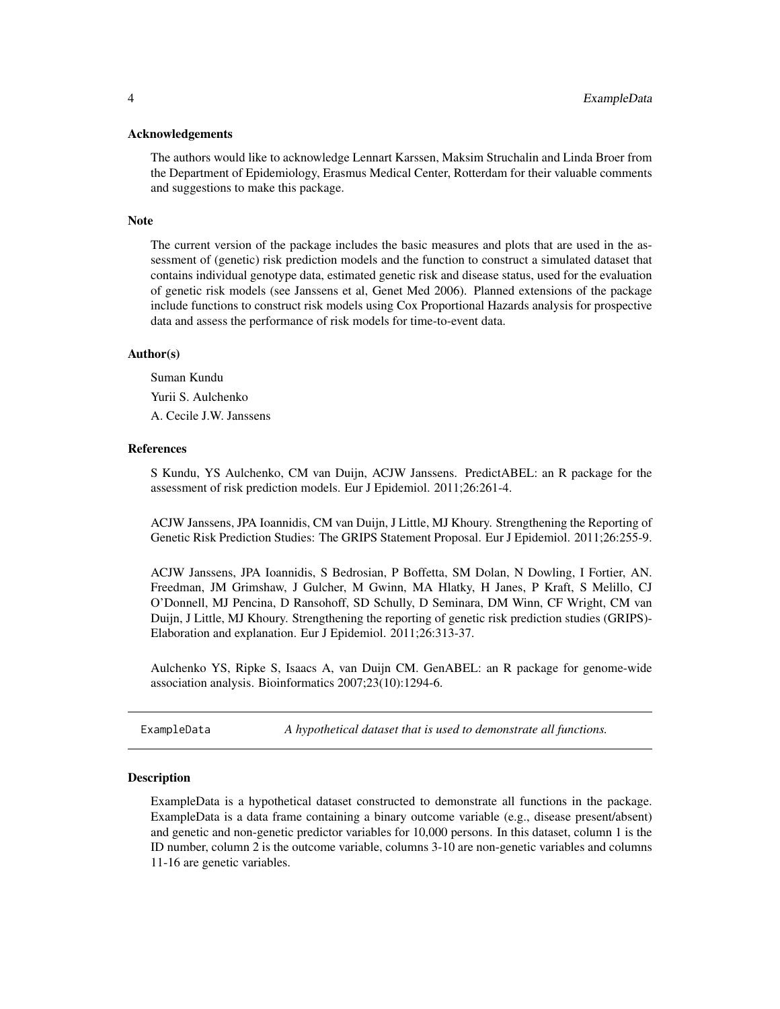# <span id="page-3-0"></span>Acknowledgements

The authors would like to acknowledge Lennart Karssen, Maksim Struchalin and Linda Broer from the Department of Epidemiology, Erasmus Medical Center, Rotterdam for their valuable comments and suggestions to make this package.

#### Note

The current version of the package includes the basic measures and plots that are used in the assessment of (genetic) risk prediction models and the function to construct a simulated dataset that contains individual genotype data, estimated genetic risk and disease status, used for the evaluation of genetic risk models (see Janssens et al, Genet Med 2006). Planned extensions of the package include functions to construct risk models using Cox Proportional Hazards analysis for prospective data and assess the performance of risk models for time-to-event data.

#### Author(s)

Suman Kundu Yurii S. Aulchenko A. Cecile J.W. Janssens

# **References**

S Kundu, YS Aulchenko, CM van Duijn, ACJW Janssens. PredictABEL: an R package for the assessment of risk prediction models. Eur J Epidemiol. 2011;26:261-4.

ACJW Janssens, JPA Ioannidis, CM van Duijn, J Little, MJ Khoury. Strengthening the Reporting of Genetic Risk Prediction Studies: The GRIPS Statement Proposal. Eur J Epidemiol. 2011;26:255-9.

ACJW Janssens, JPA Ioannidis, S Bedrosian, P Boffetta, SM Dolan, N Dowling, I Fortier, AN. Freedman, JM Grimshaw, J Gulcher, M Gwinn, MA Hlatky, H Janes, P Kraft, S Melillo, CJ O'Donnell, MJ Pencina, D Ransohoff, SD Schully, D Seminara, DM Winn, CF Wright, CM van Duijn, J Little, MJ Khoury. Strengthening the reporting of genetic risk prediction studies (GRIPS)- Elaboration and explanation. Eur J Epidemiol. 2011;26:313-37.

Aulchenko YS, Ripke S, Isaacs A, van Duijn CM. GenABEL: an R package for genome-wide association analysis. Bioinformatics 2007;23(10):1294-6.

ExampleData *A hypothetical dataset that is used to demonstrate all functions.*

#### Description

ExampleData is a hypothetical dataset constructed to demonstrate all functions in the package. ExampleData is a data frame containing a binary outcome variable (e.g., disease present/absent) and genetic and non-genetic predictor variables for 10,000 persons. In this dataset, column 1 is the ID number, column 2 is the outcome variable, columns 3-10 are non-genetic variables and columns 11-16 are genetic variables.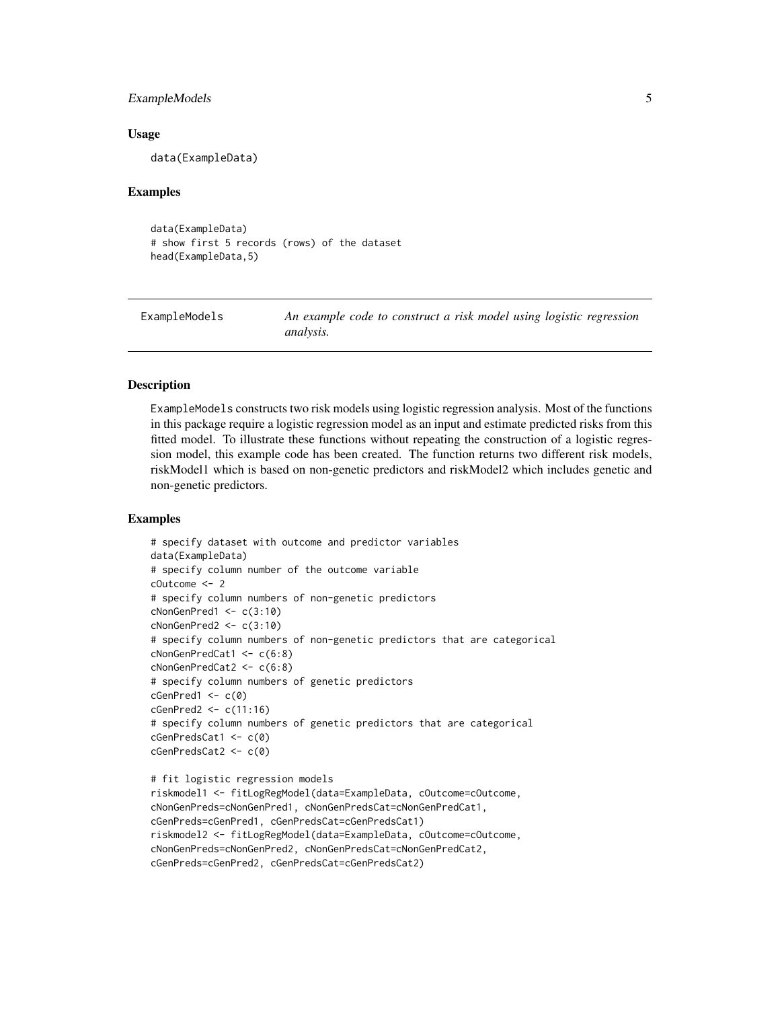# <span id="page-4-0"></span>ExampleModels 5

#### Usage

data(ExampleData)

#### Examples

```
data(ExampleData)
# show first 5 records (rows) of the dataset
head(ExampleData,5)
```
ExampleModels *An example code to construct a risk model using logistic regression analysis.*

# Description

ExampleModels constructs two risk models using logistic regression analysis. Most of the functions in this package require a logistic regression model as an input and estimate predicted risks from this fitted model. To illustrate these functions without repeating the construction of a logistic regression model, this example code has been created. The function returns two different risk models, riskModel1 which is based on non-genetic predictors and riskModel2 which includes genetic and non-genetic predictors.

```
# specify dataset with outcome and predictor variables
data(ExampleData)
# specify column number of the outcome variable
cOutcome <- 2
# specify column numbers of non-genetic predictors
cNonGenPred1 \leftarrow c(3:10)cNonGenPred2 <- c(3:10)
# specify column numbers of non-genetic predictors that are categorical
cNonGenPredCat1 <- c(6:8)
cNonGenPredCat2 <- c(6:8)
# specify column numbers of genetic predictors
cGenPred1 \leftarrow c(\emptyset)cGenPred2 <- c(11:16)
# specify column numbers of genetic predictors that are categorical
cGenPredsCat1 <- c(0)
cGenPredsCat2 <- c(0)
# fit logistic regression models
riskmodel1 <- fitLogRegModel(data=ExampleData, cOutcome=cOutcome,
cNonGenPreds=cNonGenPred1, cNonGenPredsCat=cNonGenPredCat1,
cGenPreds=cGenPred1, cGenPredsCat=cGenPredsCat1)
riskmodel2 <- fitLogRegModel(data=ExampleData, cOutcome=cOutcome,
cNonGenPreds=cNonGenPred2, cNonGenPredsCat=cNonGenPredCat2,
cGenPreds=cGenPred2, cGenPredsCat=cGenPredsCat2)
```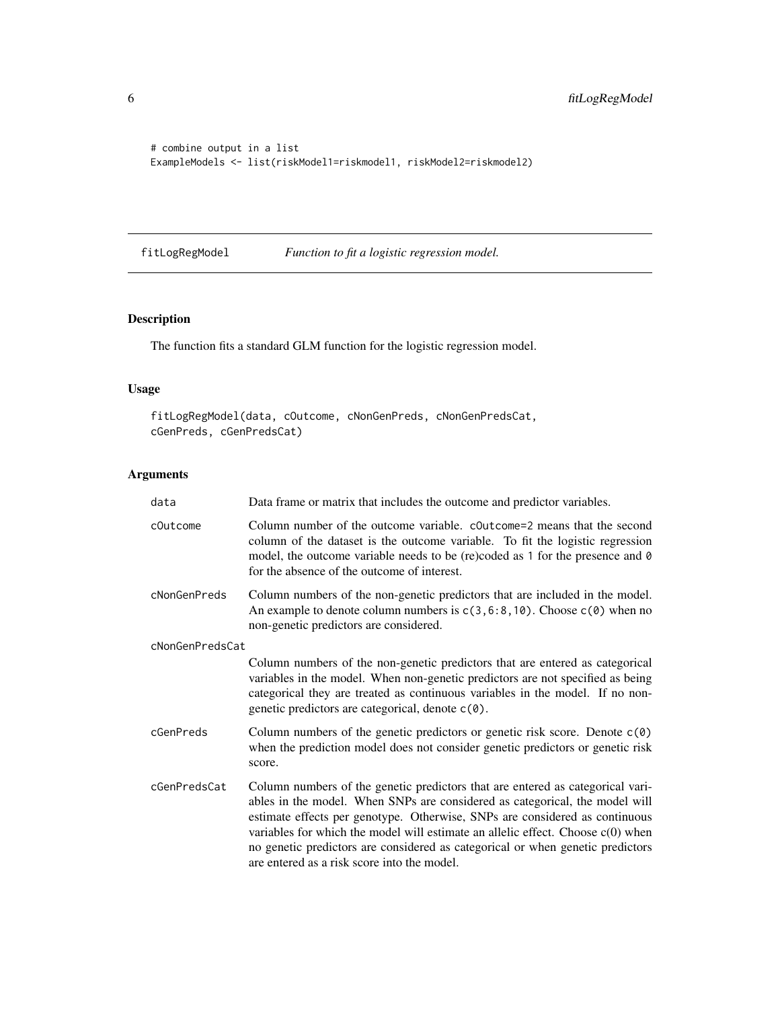```
# combine output in a list
ExampleModels <- list(riskModel1=riskmodel1, riskModel2=riskmodel2)
```
<span id="page-5-1"></span>fitLogRegModel *Function to fit a logistic regression model.*

# Description

The function fits a standard GLM function for the logistic regression model.

# Usage

fitLogRegModel(data, cOutcome, cNonGenPreds, cNonGenPredsCat, cGenPreds, cGenPredsCat)

| data            | Data frame or matrix that includes the outcome and predictor variables.                                                                                                                                                                                                                                                                                                                                                                                            |
|-----------------|--------------------------------------------------------------------------------------------------------------------------------------------------------------------------------------------------------------------------------------------------------------------------------------------------------------------------------------------------------------------------------------------------------------------------------------------------------------------|
| cOutcome        | Column number of the outcome variable. coutcome=2 means that the second<br>column of the dataset is the outcome variable. To fit the logistic regression<br>model, the outcome variable needs to be (re)coded as 1 for the presence and $\theta$<br>for the absence of the outcome of interest.                                                                                                                                                                    |
| cNonGenPreds    | Column numbers of the non-genetic predictors that are included in the model.<br>An example to denote column numbers is $c(3, 6:8, 10)$ . Choose $c(0)$ when no<br>non-genetic predictors are considered.                                                                                                                                                                                                                                                           |
| cNonGenPredsCat |                                                                                                                                                                                                                                                                                                                                                                                                                                                                    |
|                 | Column numbers of the non-genetic predictors that are entered as categorical<br>variables in the model. When non-genetic predictors are not specified as being<br>categorical they are treated as continuous variables in the model. If no non-<br>genetic predictors are categorical, denote c(0).                                                                                                                                                                |
| cGenPreds       | Column numbers of the genetic predictors or genetic risk score. Denote $c(\theta)$<br>when the prediction model does not consider genetic predictors or genetic risk<br>score.                                                                                                                                                                                                                                                                                     |
| cGenPredsCat    | Column numbers of the genetic predictors that are entered as categorical vari-<br>ables in the model. When SNPs are considered as categorical, the model will<br>estimate effects per genotype. Otherwise, SNPs are considered as continuous<br>variables for which the model will estimate an allelic effect. Choose $c(0)$ when<br>no genetic predictors are considered as categorical or when genetic predictors<br>are entered as a risk score into the model. |

<span id="page-5-0"></span>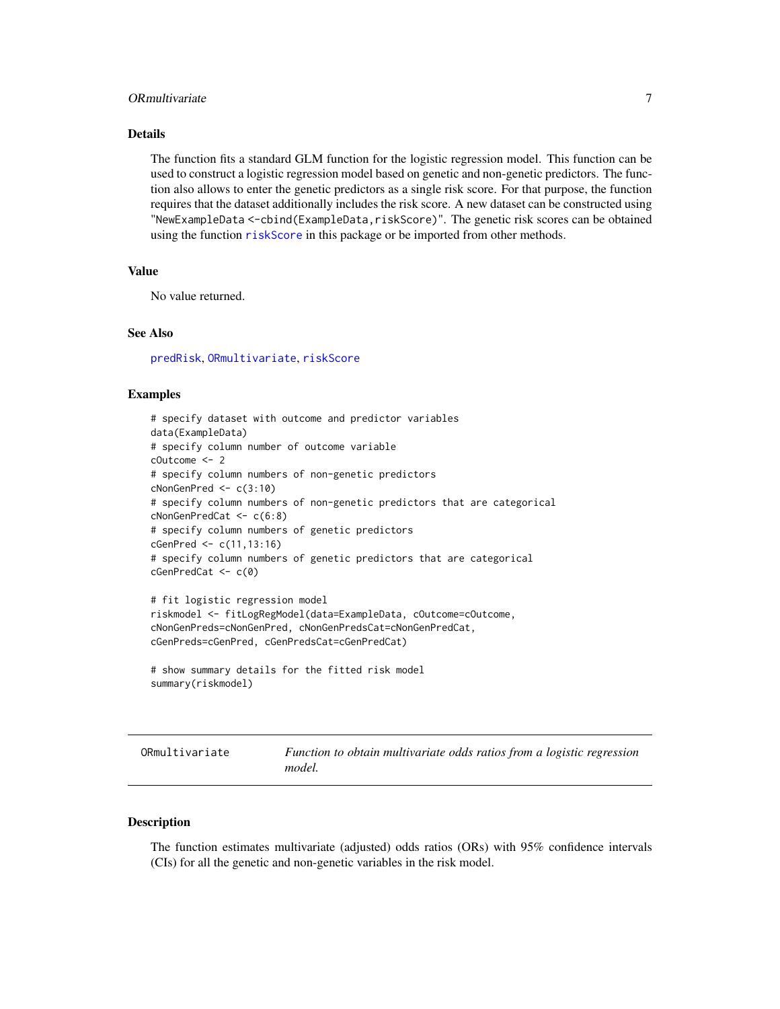# <span id="page-6-0"></span>ORmultivariate 7

# Details

The function fits a standard GLM function for the logistic regression model. This function can be used to construct a logistic regression model based on genetic and non-genetic predictors. The function also allows to enter the genetic predictors as a single risk score. For that purpose, the function requires that the dataset additionally includes the risk score. A new dataset can be constructed using "NewExampleData <-cbind(ExampleData,riskScore)". The genetic risk scores can be obtained using the function [riskScore](#page-23-1) in this package or be imported from other methods.

#### Value

No value returned.

# See Also

[predRisk](#page-20-1), [ORmultivariate](#page-6-1), [riskScore](#page-23-1)

#### Examples

```
# specify dataset with outcome and predictor variables
data(ExampleData)
# specify column number of outcome variable
cOutcome <- 2
# specify column numbers of non-genetic predictors
cNonGenPred <- c(3:10)
# specify column numbers of non-genetic predictors that are categorical
cNonGenPredCat <- c(6:8)
# specify column numbers of genetic predictors
cGenPred <- c(11,13:16)
# specify column numbers of genetic predictors that are categorical
cGenPredCat <- c(0)
# fit logistic regression model
riskmodel <- fitLogRegModel(data=ExampleData, cOutcome=cOutcome,
cNonGenPreds=cNonGenPred, cNonGenPredsCat=cNonGenPredCat,
cGenPreds=cGenPred, cGenPredsCat=cGenPredCat)
# show summary details for the fitted risk model
summary(riskmodel)
```
<span id="page-6-1"></span>ORmultivariate *Function to obtain multivariate odds ratios from a logistic regression model.*

# Description

The function estimates multivariate (adjusted) odds ratios (ORs) with 95% confidence intervals (CIs) for all the genetic and non-genetic variables in the risk model.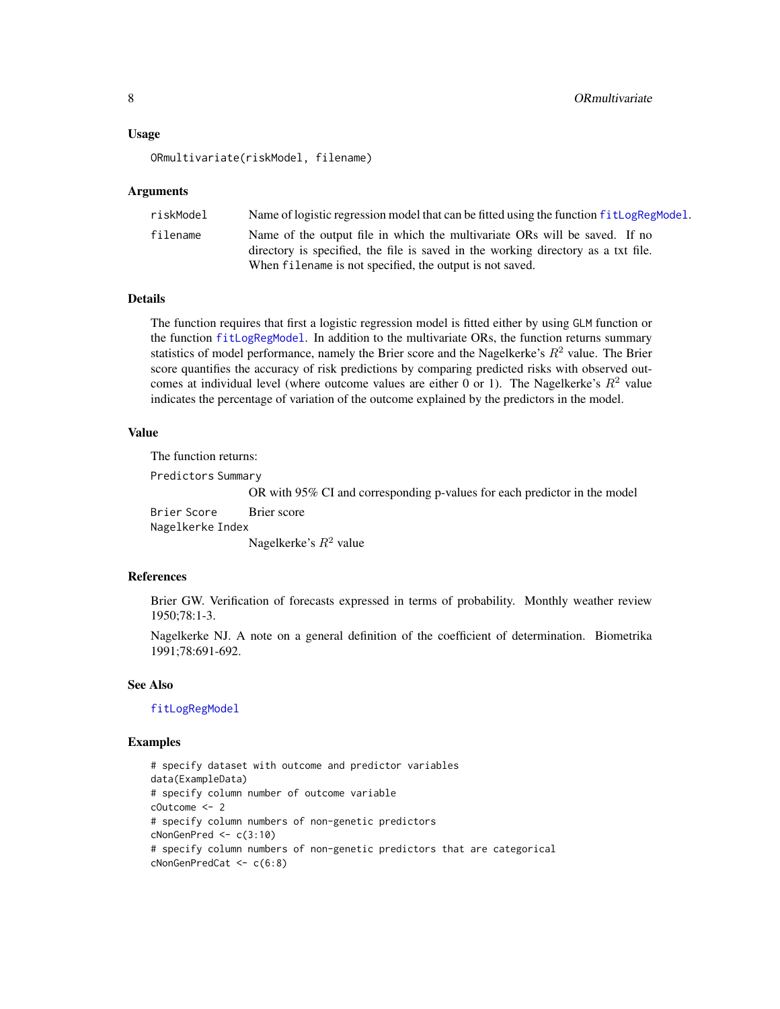#### <span id="page-7-0"></span>Usage

ORmultivariate(riskModel, filename)

#### Arguments

| riskModel | Name of logistic regression model that can be fitted using the function fit LogRegModel.                                                                        |
|-----------|-----------------------------------------------------------------------------------------------------------------------------------------------------------------|
| filename  | Name of the output file in which the multivariate ORs will be saved. If no<br>directory is specified, the file is saved in the working directory as a txt file. |
|           | When filename is not specified, the output is not saved.                                                                                                        |

#### Details

The function requires that first a logistic regression model is fitted either by using GLM function or the function [fitLogRegModel](#page-5-1). In addition to the multivariate ORs, the function returns summary statistics of model performance, namely the Brier score and the Nagelkerke's  $R<sup>2</sup>$  value. The Brier score quantifies the accuracy of risk predictions by comparing predicted risks with observed outcomes at individual level (where outcome values are either 0 or 1). The Nagelkerke's  $R^2$  value indicates the percentage of variation of the outcome explained by the predictors in the model.

#### Value

The function returns:

Predictors Summary

OR with 95% CI and corresponding p-values for each predictor in the model

Brier Score Brier score Nagelkerke Index Nagelkerke's  $R^2$  value

#### References

Brier GW. Verification of forecasts expressed in terms of probability. Monthly weather review 1950;78:1-3.

Nagelkerke NJ. A note on a general definition of the coefficient of determination. Biometrika 1991;78:691-692.

#### See Also

[fitLogRegModel](#page-5-1)

```
# specify dataset with outcome and predictor variables
data(ExampleData)
# specify column number of outcome variable
cOutcome <- 2
# specify column numbers of non-genetic predictors
cNonGenPred <- c(3:10)
# specify column numbers of non-genetic predictors that are categorical
cNonGenPredCat <- c(6:8)
```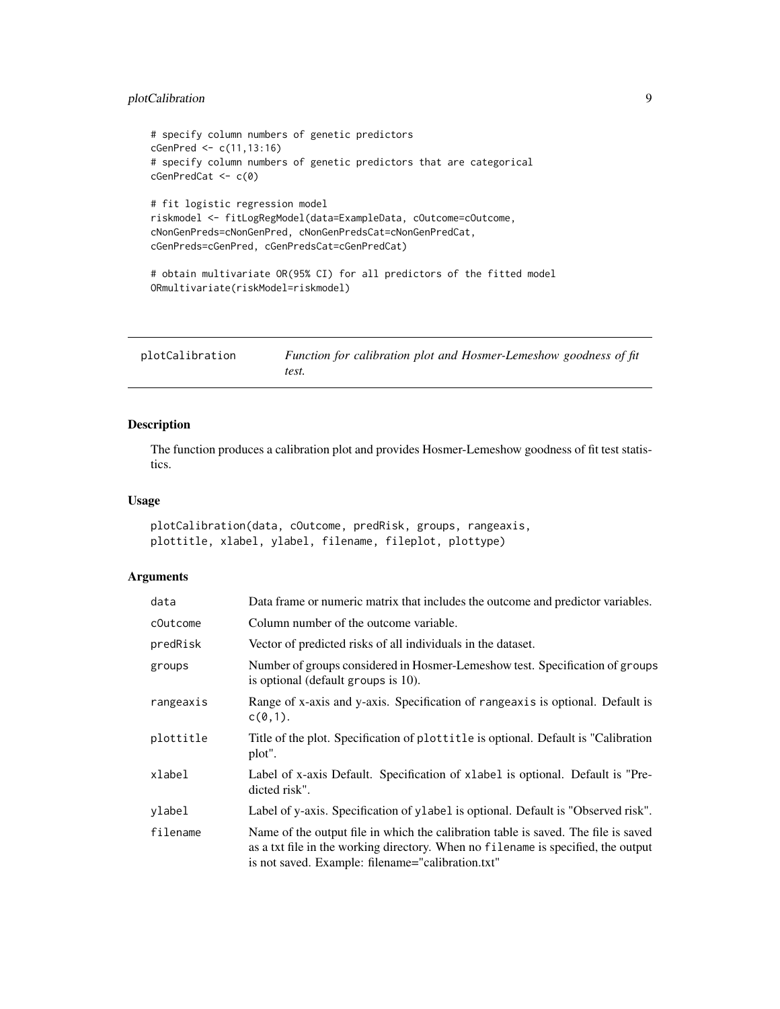# <span id="page-8-0"></span>plotCalibration 9

```
# specify column numbers of genetic predictors
cGenPred <- c(11,13:16)
# specify column numbers of genetic predictors that are categorical
cGenPredCat <- c(0)
# fit logistic regression model
riskmodel <- fitLogRegModel(data=ExampleData, cOutcome=cOutcome,
cNonGenPreds=cNonGenPred, cNonGenPredsCat=cNonGenPredCat,
cGenPreds=cGenPred, cGenPredsCat=cGenPredCat)
# obtain multivariate OR(95% CI) for all predictors of the fitted model
ORmultivariate(riskModel=riskmodel)
```
<span id="page-8-1"></span>plotCalibration *Function for calibration plot and Hosmer-Lemeshow goodness of fit test.*

# Description

The function produces a calibration plot and provides Hosmer-Lemeshow goodness of fit test statistics.

#### Usage

```
plotCalibration(data, cOutcome, predRisk, groups, rangeaxis,
plottitle, xlabel, ylabel, filename, fileplot, plottype)
```

| data      | Data frame or numeric matrix that includes the outcome and predictor variables.                                                                                                                                              |
|-----------|------------------------------------------------------------------------------------------------------------------------------------------------------------------------------------------------------------------------------|
| cOutcome  | Column number of the outcome variable.                                                                                                                                                                                       |
| predRisk  | Vector of predicted risks of all individuals in the dataset.                                                                                                                                                                 |
| groups    | Number of groups considered in Hosmer-Lemeshow test. Specification of groups<br>is optional (default groups is 10).                                                                                                          |
| rangeaxis | Range of x-axis and y-axis. Specification of rangeaxis is optional. Default is<br>$c(0,1)$ .                                                                                                                                 |
| plottitle | Title of the plot. Specification of plottitle is optional. Default is "Calibration"<br>plot".                                                                                                                                |
| xlabel    | Label of x-axis Default. Specification of xlabel is optional. Default is "Pre-<br>dicted risk".                                                                                                                              |
| ylabel    | Label of y-axis. Specification of ylabel is optional. Default is "Observed risk".                                                                                                                                            |
| filename  | Name of the output file in which the calibration table is saved. The file is saved<br>as a txt file in the working directory. When no filename is specified, the output<br>is not saved. Example: filename="calibration.txt" |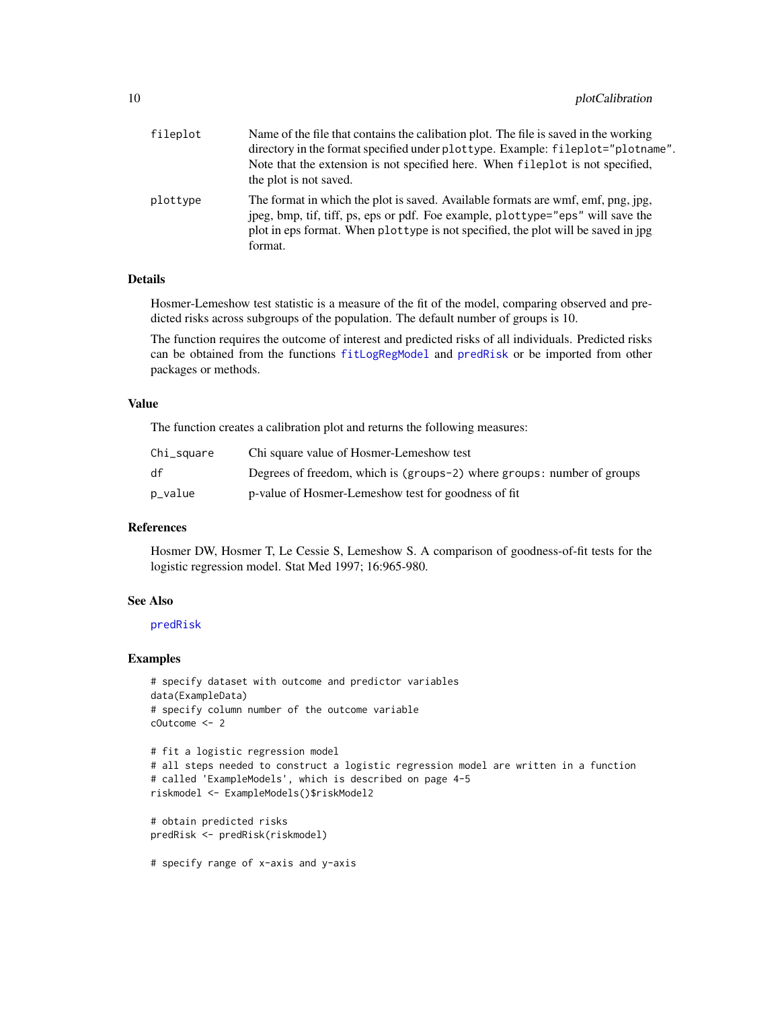# <span id="page-9-0"></span>10 plotCalibration  $p$

| fileplot | Name of the file that contains the calibation plot. The file is saved in the working<br>directory in the format specified under plottype. Example: fileplot="plotname".<br>Note that the extension is not specified here. When fileplot is not specified,<br>the plot is not saved. |
|----------|-------------------------------------------------------------------------------------------------------------------------------------------------------------------------------------------------------------------------------------------------------------------------------------|
| plottype | The format in which the plot is saved. Available formats are wmf, emf, png, jpg,<br>jpeg, bmp, tif, tiff, ps, eps or pdf. Foe example, plottype="eps" will save the<br>plot in eps format. When plottype is not specified, the plot will be saved in jpg<br>format.                 |

# Details

Hosmer-Lemeshow test statistic is a measure of the fit of the model, comparing observed and predicted risks across subgroups of the population. The default number of groups is 10.

The function requires the outcome of interest and predicted risks of all individuals. Predicted risks can be obtained from the functions [fitLogRegModel](#page-5-1) and [predRisk](#page-20-1) or be imported from other packages or methods.

# Value

The function creates a calibration plot and returns the following measures:

| Chi_square | Chi square value of Hosmer-Lemeshow test                               |
|------------|------------------------------------------------------------------------|
| df         | Degrees of freedom, which is (groups-2) where groups: number of groups |
| p_value    | p-value of Hosmer-Lemeshow test for goodness of fit                    |

#### References

Hosmer DW, Hosmer T, Le Cessie S, Lemeshow S. A comparison of goodness-of-fit tests for the logistic regression model. Stat Med 1997; 16:965-980.

# See Also

# [predRisk](#page-20-1)

```
# specify dataset with outcome and predictor variables
data(ExampleData)
# specify column number of the outcome variable
cOutcome <- 2
# fit a logistic regression model
# all steps needed to construct a logistic regression model are written in a function
# called 'ExampleModels', which is described on page 4-5
riskmodel <- ExampleModels()$riskModel2
# obtain predicted risks
predRisk <- predRisk(riskmodel)
# specify range of x-axis and y-axis
```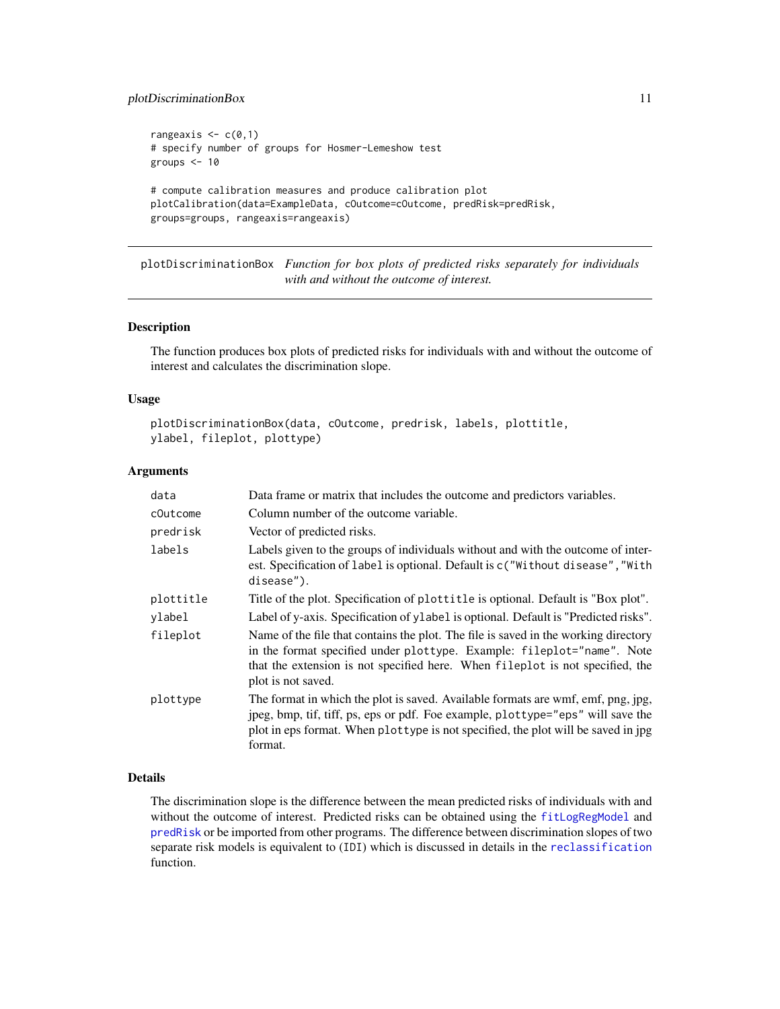# <span id="page-10-0"></span>plotDiscriminationBox 11

```
rangeaxis \leq c(0,1)
# specify number of groups for Hosmer-Lemeshow test
groups <-10# compute calibration measures and produce calibration plot
plotCalibration(data=ExampleData, cOutcome=cOutcome, predRisk=predRisk,
groups=groups, rangeaxis=rangeaxis)
```
<span id="page-10-1"></span>plotDiscriminationBox *Function for box plots of predicted risks separately for individuals with and without the outcome of interest.*

#### Description

The function produces box plots of predicted risks for individuals with and without the outcome of interest and calculates the discrimination slope.

# Usage

```
plotDiscriminationBox(data, cOutcome, predrisk, labels, plottitle,
ylabel, fileplot, plottype)
```
# Arguments

| data      | Data frame or matrix that includes the outcome and predictors variables.                                                                                                                                                                                             |
|-----------|----------------------------------------------------------------------------------------------------------------------------------------------------------------------------------------------------------------------------------------------------------------------|
| cOutcome  | Column number of the outcome variable.                                                                                                                                                                                                                               |
| predrisk  | Vector of predicted risks.                                                                                                                                                                                                                                           |
| labels    | Labels given to the groups of individuals without and with the outcome of inter-<br>est. Specification of label is optional. Default is c("Without disease", "With<br>disease").                                                                                     |
| plottitle | Title of the plot. Specification of plottitle is optional. Default is "Box plot".                                                                                                                                                                                    |
| ylabel    | Label of y-axis. Specification of ylabel is optional. Default is "Predicted risks".                                                                                                                                                                                  |
| fileplot  | Name of the file that contains the plot. The file is saved in the working directory<br>in the format specified under plottype. Example: fileplot="name". Note<br>that the extension is not specified here. When fileplot is not specified, the<br>plot is not saved. |
| plottype  | The format in which the plot is saved. Available formats are wmf, emf, png, jpg,<br>jpeg, bmp, tif, tiff, ps, eps or pdf. Foe example, plottype="eps" will save the<br>plot in eps format. When plottype is not specified, the plot will be saved in jpg<br>format.  |

# Details

The discrimination slope is the difference between the mean predicted risks of individuals with and without the outcome of interest. Predicted risks can be obtained using the [fitLogRegModel](#page-5-1) and [predRisk](#page-20-1) or be imported from other programs. The difference between discrimination slopes of two separate risk models is equivalent to (IDI) which is discussed in details in the [reclassification](#page-21-1) function.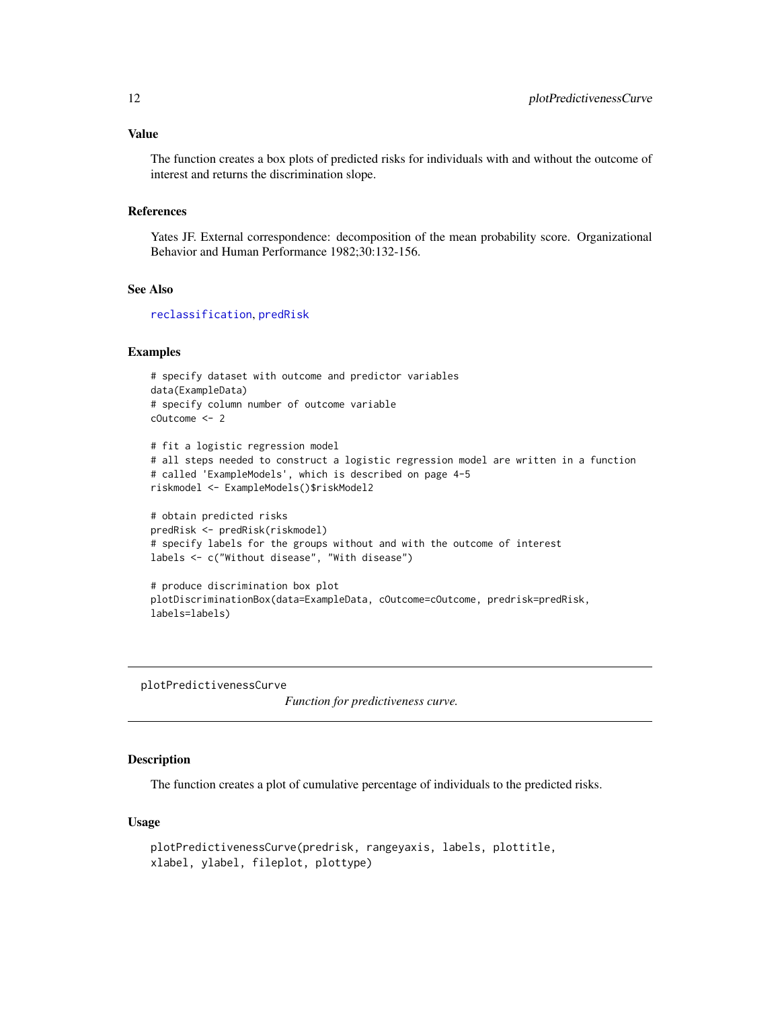# <span id="page-11-0"></span>Value

The function creates a box plots of predicted risks for individuals with and without the outcome of interest and returns the discrimination slope.

#### References

Yates JF. External correspondence: decomposition of the mean probability score. Organizational Behavior and Human Performance 1982;30:132-156.

#### See Also

[reclassification](#page-21-1), [predRisk](#page-20-1)

#### Examples

```
# specify dataset with outcome and predictor variables
data(ExampleData)
# specify column number of outcome variable
cOutcome <- 2
# fit a logistic regression model
# all steps needed to construct a logistic regression model are written in a function
# called 'ExampleModels', which is described on page 4-5
riskmodel <- ExampleModels()$riskModel2
# obtain predicted risks
predRisk <- predRisk(riskmodel)
# specify labels for the groups without and with the outcome of interest
labels <- c("Without disease", "With disease")
```

```
# produce discrimination box plot
plotDiscriminationBox(data=ExampleData, cOutcome=cOutcome, predrisk=predRisk,
labels=labels)
```
plotPredictivenessCurve

*Function for predictiveness curve.*

# **Description**

The function creates a plot of cumulative percentage of individuals to the predicted risks.

#### Usage

```
plotPredictivenessCurve(predrisk, rangeyaxis, labels, plottitle,
xlabel, ylabel, fileplot, plottype)
```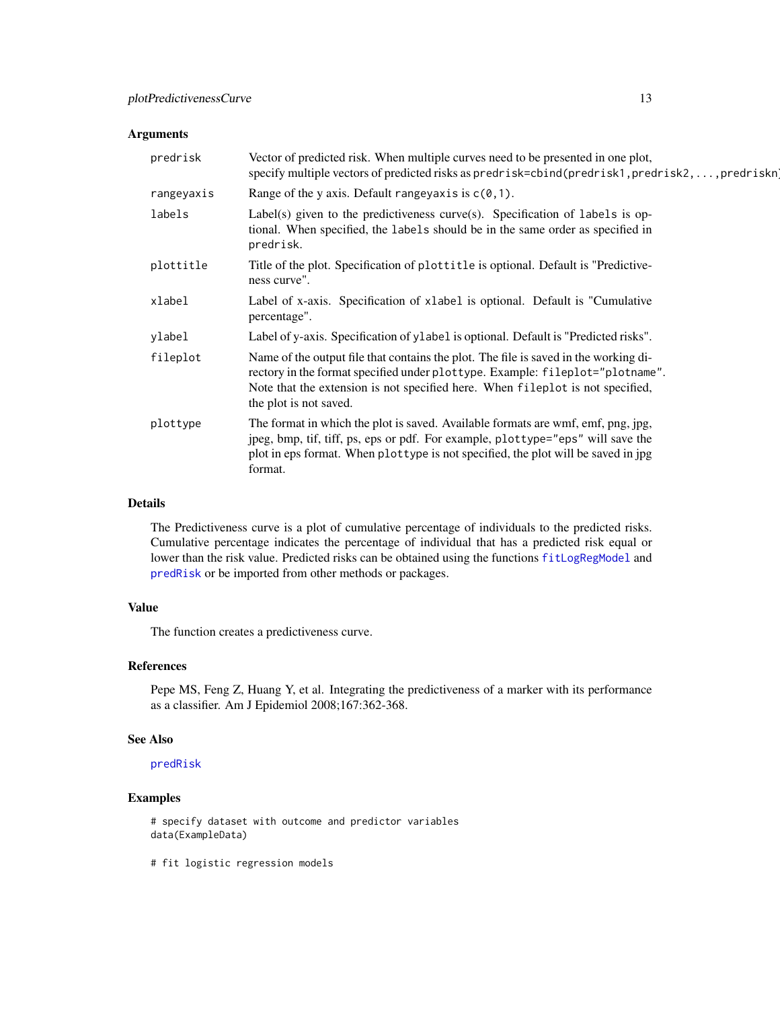# <span id="page-12-0"></span>Arguments

| predrisk   | Vector of predicted risk. When multiple curves need to be presented in one plot,<br>specify multiple vectors of predicted risks as predrisk=cbind(predrisk1, predrisk2, , predriskn)                                                                                              |
|------------|-----------------------------------------------------------------------------------------------------------------------------------------------------------------------------------------------------------------------------------------------------------------------------------|
| rangeyaxis | Range of the y axis. Default rangey axis is $c(0,1)$ .                                                                                                                                                                                                                            |
| labels     | Label(s) given to the predictiveness curve(s). Specification of labels is op-<br>tional. When specified, the labels should be in the same order as specified in<br>predrisk.                                                                                                      |
| plottitle  | Title of the plot. Specification of plottitle is optional. Default is "Predictive-<br>ness curve".                                                                                                                                                                                |
| xlabel     | Label of x-axis. Specification of xlabel is optional. Default is "Cumulative"<br>percentage".                                                                                                                                                                                     |
| ylabel     | Label of y-axis. Specification of ylabel is optional. Default is "Predicted risks".                                                                                                                                                                                               |
| fileplot   | Name of the output file that contains the plot. The file is saved in the working di-<br>rectory in the format specified under plottype. Example: fileplot="plotname".<br>Note that the extension is not specified here. When fileplot is not specified,<br>the plot is not saved. |
| plottype   | The format in which the plot is saved. Available formats are wmf, emf, png, jpg,<br>jpeg, bmp, tif, tiff, ps, eps or pdf. For example, plottype="eps" will save the<br>plot in eps format. When plottype is not specified, the plot will be saved in jpg<br>format.               |

# Details

The Predictiveness curve is a plot of cumulative percentage of individuals to the predicted risks. Cumulative percentage indicates the percentage of individual that has a predicted risk equal or lower than the risk value. Predicted risks can be obtained using the functions [fitLogRegModel](#page-5-1) and [predRisk](#page-20-1) or be imported from other methods or packages.

# Value

The function creates a predictiveness curve.

# References

Pepe MS, Feng Z, Huang Y, et al. Integrating the predictiveness of a marker with its performance as a classifier. Am J Epidemiol 2008;167:362-368.

#### See Also

[predRisk](#page-20-1)

# Examples

```
# specify dataset with outcome and predictor variables
data(ExampleData)
```
# fit logistic regression models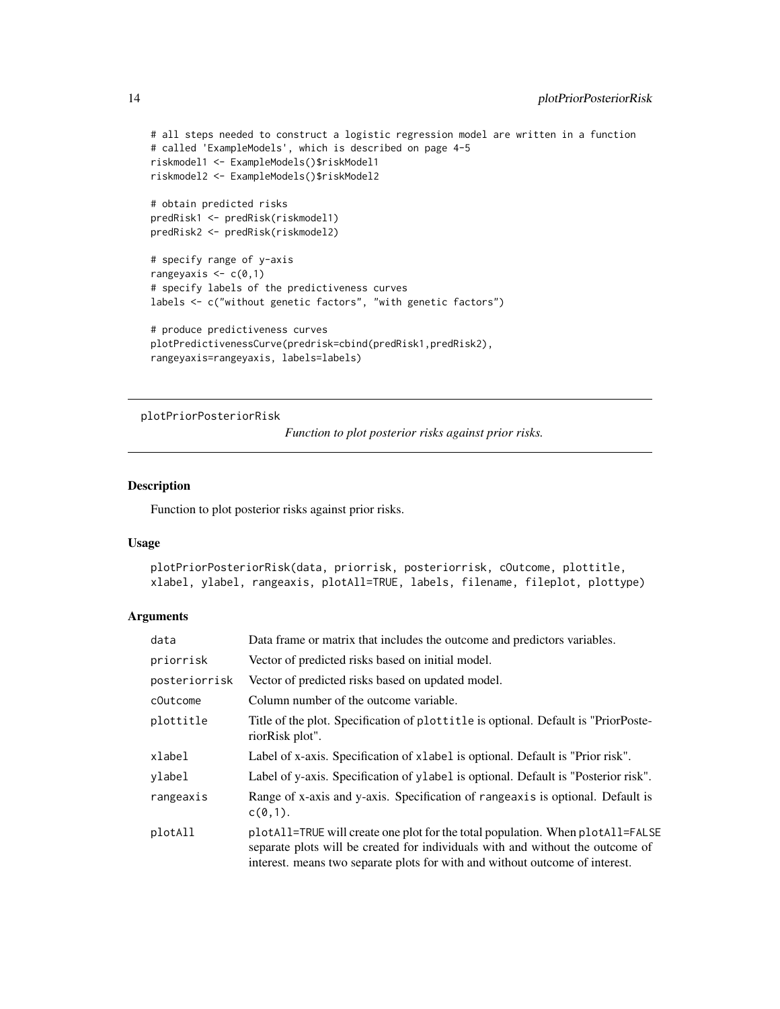```
# all steps needed to construct a logistic regression model are written in a function
# called 'ExampleModels', which is described on page 4-5
riskmodel1 <- ExampleModels()$riskModel1
riskmodel2 <- ExampleModels()$riskModel2
# obtain predicted risks
predRisk1 <- predRisk(riskmodel1)
predRisk2 <- predRisk(riskmodel2)
# specify range of y-axis
rangeyaxis \leq c(0,1)# specify labels of the predictiveness curves
labels <- c("without genetic factors", "with genetic factors")
# produce predictiveness curves
plotPredictivenessCurve(predrisk=cbind(predRisk1,predRisk2),
rangeyaxis=rangeyaxis, labels=labels)
```

```
plotPriorPosteriorRisk
```
*Function to plot posterior risks against prior risks.*

#### Description

Function to plot posterior risks against prior risks.

#### Usage

```
plotPriorPosteriorRisk(data, priorrisk, posteriorrisk, cOutcome, plottitle,
xlabel, ylabel, rangeaxis, plotAll=TRUE, labels, filename, fileplot, plottype)
```

| data          | Data frame or matrix that includes the outcome and predictors variables.                                                                                                                                                                         |
|---------------|--------------------------------------------------------------------------------------------------------------------------------------------------------------------------------------------------------------------------------------------------|
| priorrisk     | Vector of predicted risks based on initial model.                                                                                                                                                                                                |
| posteriorrisk | Vector of predicted risks based on updated model.                                                                                                                                                                                                |
| cOutcome      | Column number of the outcome variable.                                                                                                                                                                                                           |
| plottitle     | Title of the plot. Specification of plottitle is optional. Default is "PriorPoste-<br>riorRisk plot".                                                                                                                                            |
| xlabel        | Label of x-axis. Specification of xlabel is optional. Default is "Prior risk".                                                                                                                                                                   |
| ylabel        | Label of y-axis. Specification of ylabel is optional. Default is "Posterior risk".                                                                                                                                                               |
| rangeaxis     | Range of x-axis and y-axis. Specification of rangeaxis is optional. Default is<br>$c(0,1)$ .                                                                                                                                                     |
| plotAll       | plotall=TRUE will create one plot for the total population. When plotall=FALSE<br>separate plots will be created for individuals with and without the outcome of<br>interest. means two separate plots for with and without outcome of interest. |

<span id="page-13-0"></span>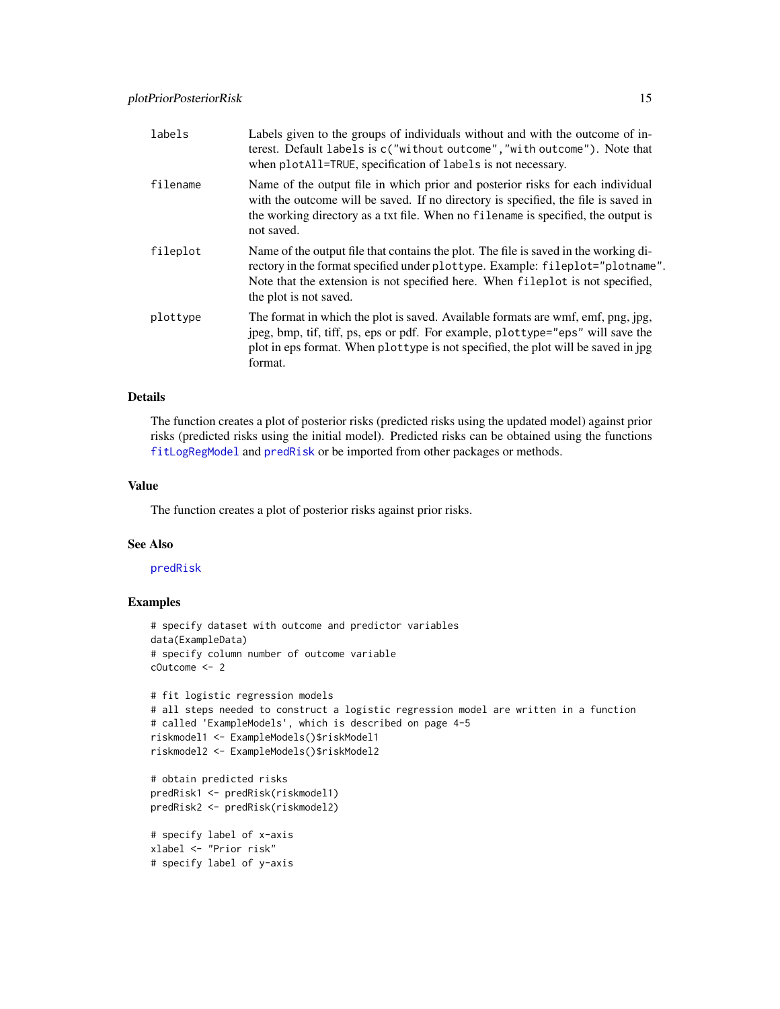<span id="page-14-0"></span>

| labels   | Labels given to the groups of individuals without and with the outcome of in-<br>terest. Default labels is c("without outcome", "with outcome"). Note that<br>when plotAll=TRUE, specification of labels is not necessary.                                                        |
|----------|-----------------------------------------------------------------------------------------------------------------------------------------------------------------------------------------------------------------------------------------------------------------------------------|
| filename | Name of the output file in which prior and posterior risks for each individual<br>with the outcome will be saved. If no directory is specified, the file is saved in<br>the working directory as a txt file. When no filename is specified, the output is<br>not saved.           |
| fileplot | Name of the output file that contains the plot. The file is saved in the working di-<br>rectory in the format specified under plottype. Example: fileplot="plotname".<br>Note that the extension is not specified here. When fileplot is not specified,<br>the plot is not saved. |
| plottype | The format in which the plot is saved. Available formats are wmf, emf, png, jpg,<br>jpeg, bmp, tif, tiff, ps, eps or pdf. For example, plottype="eps" will save the<br>plot in eps format. When plottype is not specified, the plot will be saved in jpg<br>format.               |

#### Details

The function creates a plot of posterior risks (predicted risks using the updated model) against prior risks (predicted risks using the initial model). Predicted risks can be obtained using the functions [fitLogRegModel](#page-5-1) and [predRisk](#page-20-1) or be imported from other packages or methods.

# Value

The function creates a plot of posterior risks against prior risks.

# See Also

# [predRisk](#page-20-1)

```
# specify dataset with outcome and predictor variables
data(ExampleData)
# specify column number of outcome variable
cOutcome <- 2
# fit logistic regression models
# all steps needed to construct a logistic regression model are written in a function
# called 'ExampleModels', which is described on page 4-5
riskmodel1 <- ExampleModels()$riskModel1
riskmodel2 <- ExampleModels()$riskModel2
# obtain predicted risks
predRisk1 <- predRisk(riskmodel1)
predRisk2 <- predRisk(riskmodel2)
# specify label of x-axis
xlabel <- "Prior risk"
# specify label of y-axis
```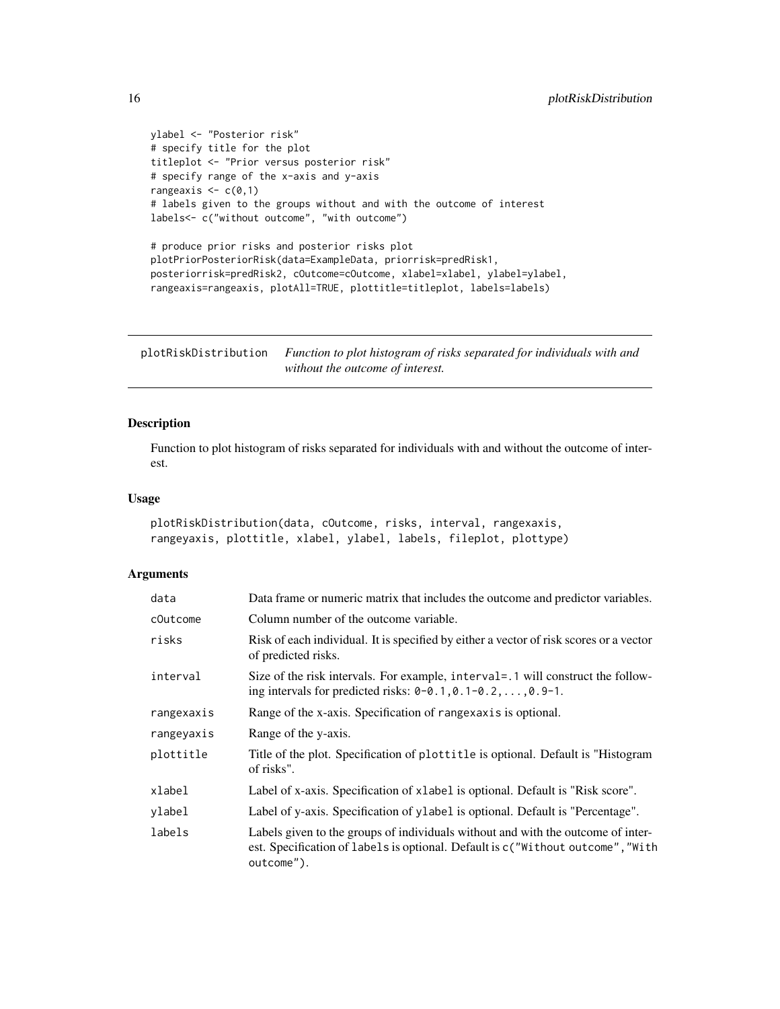```
ylabel <- "Posterior risk"
# specify title for the plot
titleplot <- "Prior versus posterior risk"
# specify range of the x-axis and y-axis
rangeaxis \leq c(0,1)# labels given to the groups without and with the outcome of interest
labels<- c("without outcome", "with outcome")
# produce prior risks and posterior risks plot
plotPriorPosteriorRisk(data=ExampleData, priorrisk=predRisk1,
posteriorrisk=predRisk2, cOutcome=cOutcome, xlabel=xlabel, ylabel=ylabel,
rangeaxis=rangeaxis, plotAll=TRUE, plottitle=titleplot, labels=labels)
```
<span id="page-15-1"></span>plotRiskDistribution *Function to plot histogram of risks separated for individuals with and without the outcome of interest.*

# Description

Function to plot histogram of risks separated for individuals with and without the outcome of interest.

# Usage

```
plotRiskDistribution(data, cOutcome, risks, interval, rangexaxis,
rangeyaxis, plottitle, xlabel, ylabel, labels, fileplot, plottype)
```

| data       | Data frame or numeric matrix that includes the outcome and predictor variables.                                                                                                   |
|------------|-----------------------------------------------------------------------------------------------------------------------------------------------------------------------------------|
| cOutcome   | Column number of the outcome variable.                                                                                                                                            |
| risks      | Risk of each individual. It is specified by either a vector of risk scores or a vector<br>of predicted risks.                                                                     |
| interval   | Size of the risk intervals. For example, interval = .1 will construct the follow-<br>ing intervals for predicted risks: $0-0.1, 0.1-0.2, \ldots, 0.9-1$ .                         |
| rangexaxis | Range of the x-axis. Specification of rangexaxis is optional.                                                                                                                     |
| rangeyaxis | Range of the y-axis.                                                                                                                                                              |
| plottitle  | Title of the plot. Specification of plottitle is optional. Default is "Histogram"<br>of risks".                                                                                   |
| xlabel     | Label of x-axis. Specification of xlabel is optional. Default is "Risk score".                                                                                                    |
| ylabel     | Label of y-axis. Specification of ylabel is optional. Default is "Percentage".                                                                                                    |
| labels     | Labels given to the groups of individuals without and with the outcome of inter-<br>est. Specification of labels is optional. Default is c("Without outcome", "With<br>outcome"). |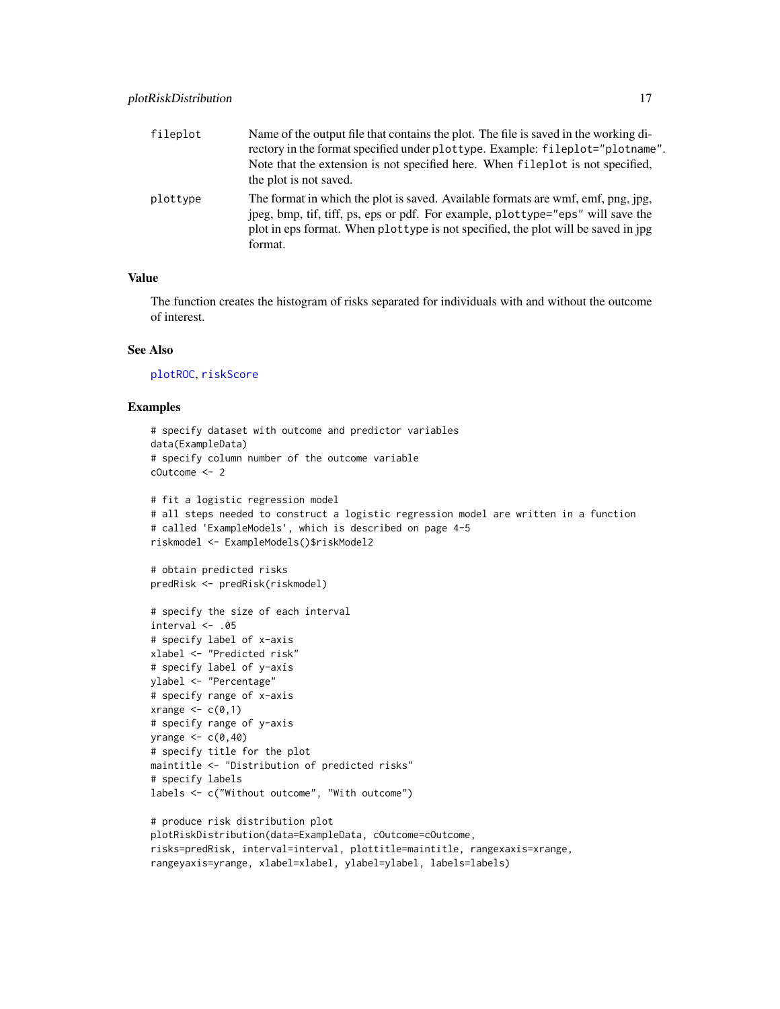<span id="page-16-0"></span>

| fileplot | Name of the output file that contains the plot. The file is saved in the working di-<br>rectory in the format specified under plottype. Example: fileplot="plotname".<br>Note that the extension is not specified here. When fileplot is not specified,<br>the plot is not saved. |
|----------|-----------------------------------------------------------------------------------------------------------------------------------------------------------------------------------------------------------------------------------------------------------------------------------|
| plottype | The format in which the plot is saved. Available formats are wmf, emf, png, jpg,<br>jpeg, bmp, tif, tiff, ps, eps or pdf. For example, plottype="eps" will save the<br>plot in eps format. When plottype is not specified, the plot will be saved in jpg<br>format.               |

# Value

The function creates the histogram of risks separated for individuals with and without the outcome of interest.

# See Also

[plotROC](#page-18-1), [riskScore](#page-23-1)

```
# specify dataset with outcome and predictor variables
data(ExampleData)
# specify column number of the outcome variable
cOutcome <- 2
# fit a logistic regression model
# all steps needed to construct a logistic regression model are written in a function
# called 'ExampleModels', which is described on page 4-5
riskmodel <- ExampleModels()$riskModel2
# obtain predicted risks
predRisk <- predRisk(riskmodel)
# specify the size of each interval
interval < -05# specify label of x-axis
xlabel <- "Predicted risk"
# specify label of y-axis
ylabel <- "Percentage"
# specify range of x-axis
xrange <-c(0,1)# specify range of y-axis
yrange <-c(0,40)# specify title for the plot
maintitle <- "Distribution of predicted risks"
# specify labels
labels <- c("Without outcome", "With outcome")
# produce risk distribution plot
plotRiskDistribution(data=ExampleData, cOutcome=cOutcome,
risks=predRisk, interval=interval, plottitle=maintitle, rangexaxis=xrange,
rangeyaxis=yrange, xlabel=xlabel, ylabel=ylabel, labels=labels)
```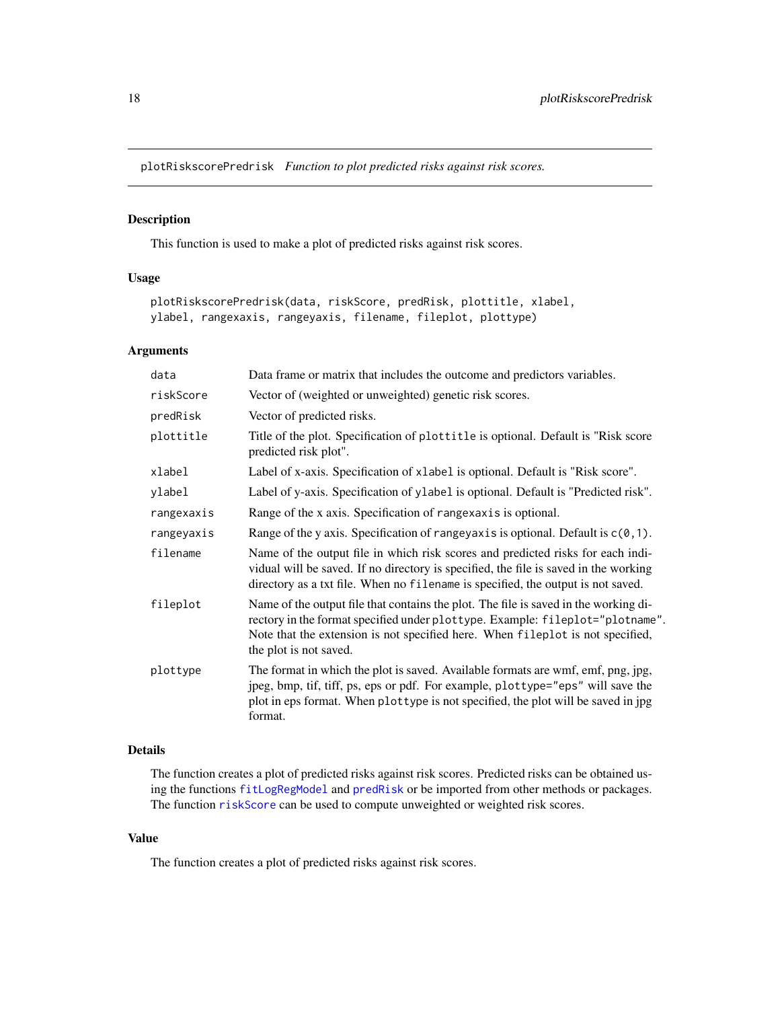<span id="page-17-1"></span><span id="page-17-0"></span>plotRiskscorePredrisk *Function to plot predicted risks against risk scores.*

# Description

This function is used to make a plot of predicted risks against risk scores.

# Usage

```
plotRiskscorePredrisk(data, riskScore, predRisk, plottitle, xlabel,
ylabel, rangexaxis, rangeyaxis, filename, fileplot, plottype)
```
# Arguments

| data       | Data frame or matrix that includes the outcome and predictors variables.                                                                                                                                                                                                          |
|------------|-----------------------------------------------------------------------------------------------------------------------------------------------------------------------------------------------------------------------------------------------------------------------------------|
| riskScore  | Vector of (weighted or unweighted) genetic risk scores.                                                                                                                                                                                                                           |
| predRisk   | Vector of predicted risks.                                                                                                                                                                                                                                                        |
| plottitle  | Title of the plot. Specification of plottitle is optional. Default is "Risk score"<br>predicted risk plot".                                                                                                                                                                       |
| xlabel     | Label of x-axis. Specification of xlabel is optional. Default is "Risk score".                                                                                                                                                                                                    |
| ylabel     | Label of y-axis. Specification of ylabel is optional. Default is "Predicted risk".                                                                                                                                                                                                |
| rangexaxis | Range of the x axis. Specification of rangexaxis is optional.                                                                                                                                                                                                                     |
| rangeyaxis | Range of the y axis. Specification of rangey axis is optional. Default is $c(0, 1)$ .                                                                                                                                                                                             |
| filename   | Name of the output file in which risk scores and predicted risks for each indi-<br>vidual will be saved. If no directory is specified, the file is saved in the working<br>directory as a txt file. When no filename is specified, the output is not saved.                       |
| fileplot   | Name of the output file that contains the plot. The file is saved in the working di-<br>rectory in the format specified under plottype. Example: fileplot="plotname".<br>Note that the extension is not specified here. When fileplot is not specified,<br>the plot is not saved. |
| plottype   | The format in which the plot is saved. Available formats are wmf, emf, png, jpg,<br>jpeg, bmp, tif, tiff, ps, eps or pdf. For example, plottype="eps" will save the<br>plot in eps format. When plottype is not specified, the plot will be saved in jpg<br>format.               |

# Details

The function creates a plot of predicted risks against risk scores. Predicted risks can be obtained using the functions [fitLogRegModel](#page-5-1) and [predRisk](#page-20-1) or be imported from other methods or packages. The function [riskScore](#page-23-1) can be used to compute unweighted or weighted risk scores.

# Value

The function creates a plot of predicted risks against risk scores.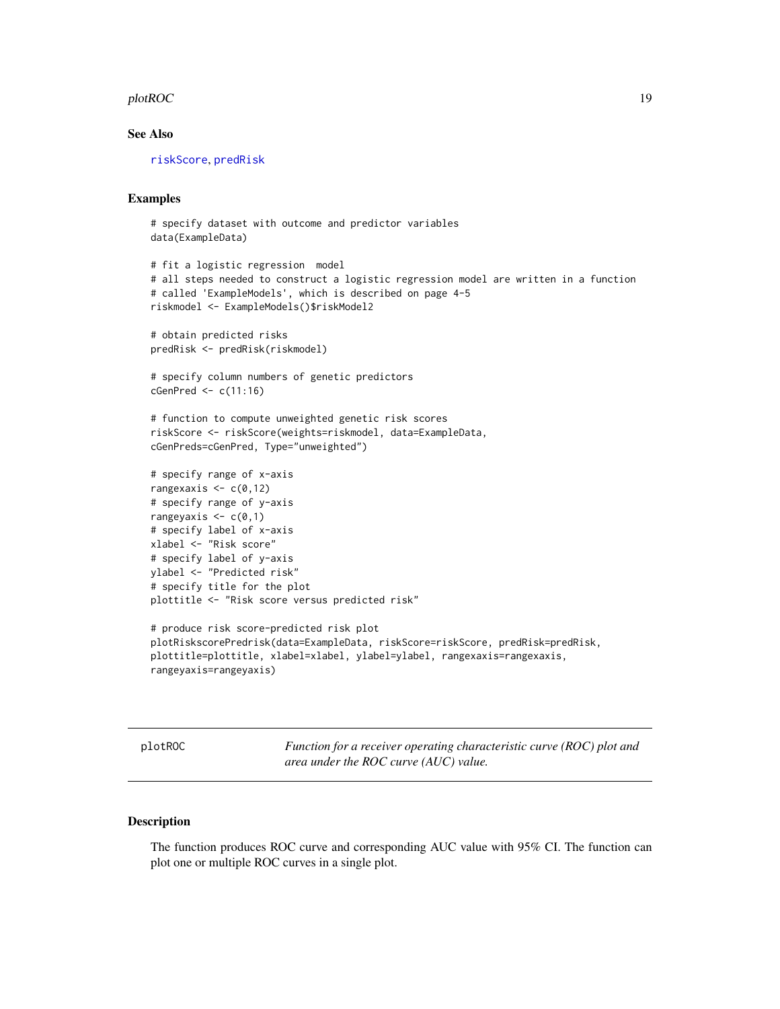#### <span id="page-18-0"></span> $p$ lotROC  $\qquad \qquad$  19

# See Also

[riskScore](#page-23-1), [predRisk](#page-20-1)

# Examples

```
# specify dataset with outcome and predictor variables
data(ExampleData)
# fit a logistic regression model
# all steps needed to construct a logistic regression model are written in a function
# called 'ExampleModels', which is described on page 4-5
riskmodel <- ExampleModels()$riskModel2
# obtain predicted risks
predRisk <- predRisk(riskmodel)
# specify column numbers of genetic predictors
cGenPred \leftarrow c(11:16)# function to compute unweighted genetic risk scores
riskScore <- riskScore(weights=riskmodel, data=ExampleData,
cGenPreds=cGenPred, Type="unweighted")
# specify range of x-axis
rangexaxis \leq c(0,12)# specify range of y-axis
rangeyaxis \leq c(0,1)# specify label of x-axis
xlabel <- "Risk score"
# specify label of y-axis
ylabel <- "Predicted risk"
# specify title for the plot
plottitle <- "Risk score versus predicted risk"
# produce risk score-predicted risk plot
plotRiskscorePredrisk(data=ExampleData, riskScore=riskScore, predRisk=predRisk,
plottitle=plottitle, xlabel=xlabel, ylabel=ylabel, rangexaxis=rangexaxis,
rangeyaxis=rangeyaxis)
```
<span id="page-18-1"></span>plotROC *Function for a receiver operating characteristic curve (ROC) plot and area under the ROC curve (AUC) value.*

# Description

The function produces ROC curve and corresponding AUC value with 95% CI. The function can plot one or multiple ROC curves in a single plot.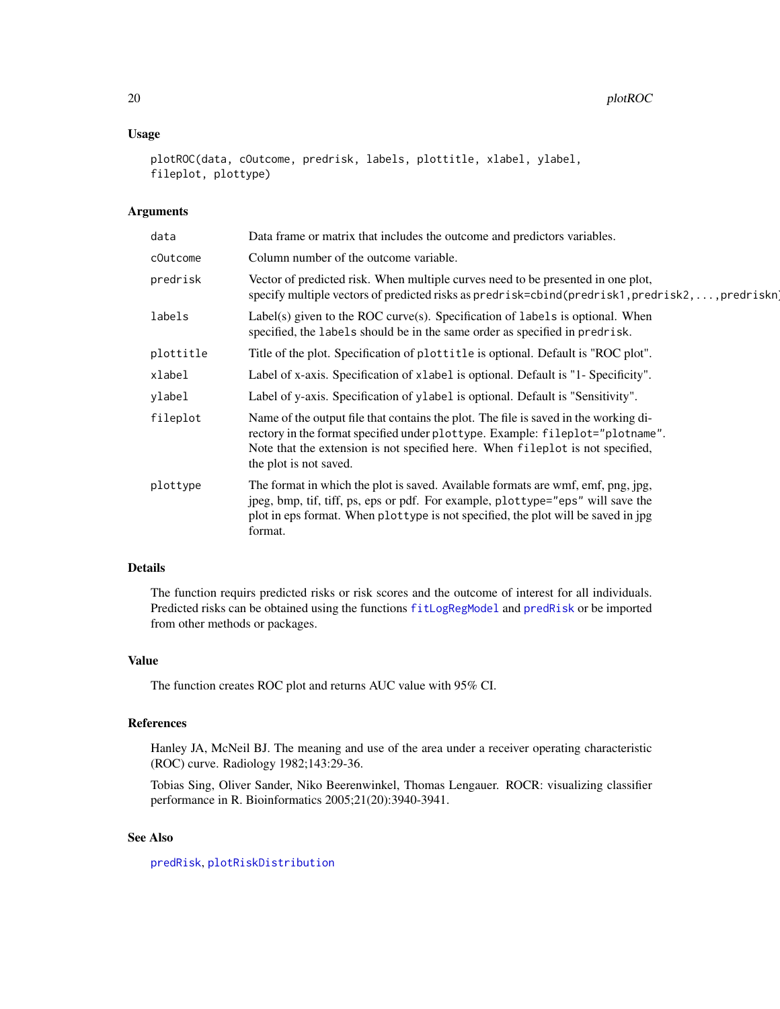# <span id="page-19-0"></span>20 plotROC

# Usage

```
plotROC(data, cOutcome, predrisk, labels, plottitle, xlabel, ylabel,
fileplot, plottype)
```
# Arguments

| data      | Data frame or matrix that includes the outcome and predictors variables.                                                                                                                                                                                                          |
|-----------|-----------------------------------------------------------------------------------------------------------------------------------------------------------------------------------------------------------------------------------------------------------------------------------|
| cOutcome  | Column number of the outcome variable.                                                                                                                                                                                                                                            |
| predrisk  | Vector of predicted risk. When multiple curves need to be presented in one plot,<br>specify multiple vectors of predicted risks as predrisk=cbind(predrisk1, predrisk2, , predriskn                                                                                               |
| labels    | Label(s) given to the ROC curve(s). Specification of labels is optional. When<br>specified, the labels should be in the same order as specified in predrisk.                                                                                                                      |
| plottitle | Title of the plot. Specification of plottitle is optional. Default is "ROC plot".                                                                                                                                                                                                 |
| xlabel    | Label of x-axis. Specification of xlabel is optional. Default is "1- Specificity".                                                                                                                                                                                                |
| ylabel    | Label of y-axis. Specification of ylabel is optional. Default is "Sensitivity".                                                                                                                                                                                                   |
| fileplot  | Name of the output file that contains the plot. The file is saved in the working di-<br>rectory in the format specified under plottype. Example: fileplot="plotname".<br>Note that the extension is not specified here. When fileplot is not specified,<br>the plot is not saved. |
| plottype  | The format in which the plot is saved. Available formats are wmf, emf, png, jpg,<br>jpeg, bmp, tif, tiff, ps, eps or pdf. For example, plottype="eps" will save the<br>plot in eps format. When plottype is not specified, the plot will be saved in jpg<br>format.               |

# Details

The function requirs predicted risks or risk scores and the outcome of interest for all individuals. Predicted risks can be obtained using the functions [fitLogRegModel](#page-5-1) and [predRisk](#page-20-1) or be imported from other methods or packages.

# Value

The function creates ROC plot and returns AUC value with 95% CI.

# References

Hanley JA, McNeil BJ. The meaning and use of the area under a receiver operating characteristic (ROC) curve. Radiology 1982;143:29-36.

Tobias Sing, Oliver Sander, Niko Beerenwinkel, Thomas Lengauer. ROCR: visualizing classifier performance in R. Bioinformatics 2005;21(20):3940-3941.

# See Also

[predRisk](#page-20-1), [plotRiskDistribution](#page-15-1)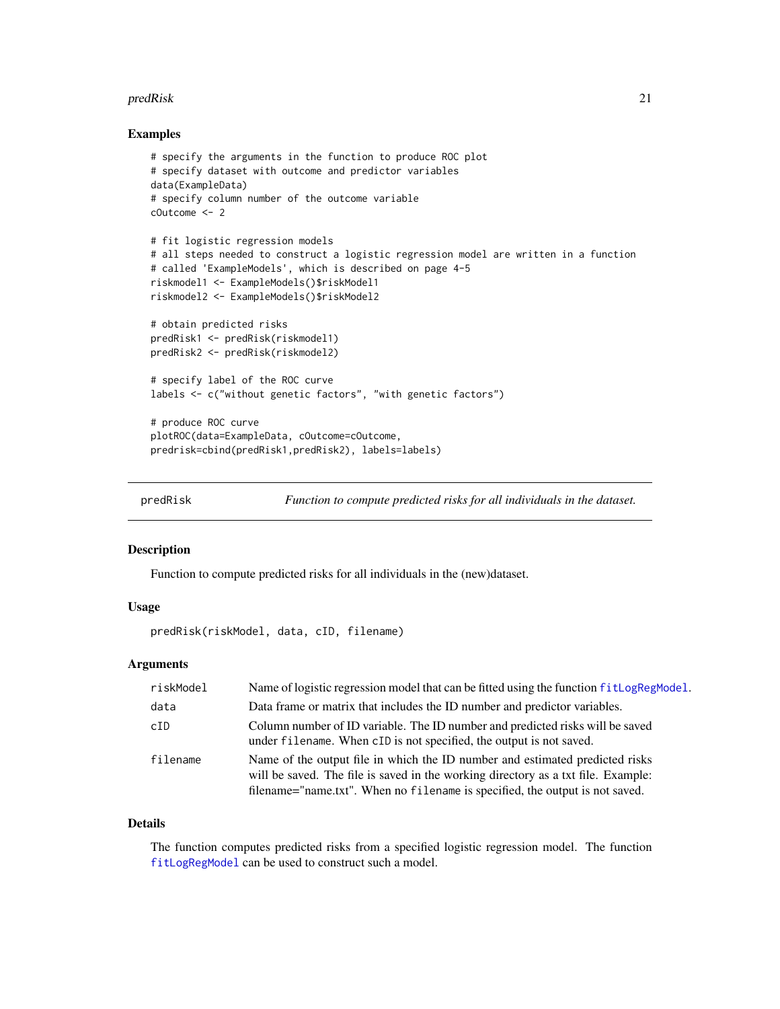#### <span id="page-20-0"></span>predRisk 21

# Examples

```
# specify the arguments in the function to produce ROC plot
# specify dataset with outcome and predictor variables
data(ExampleData)
# specify column number of the outcome variable
cOutcome <- 2
# fit logistic regression models
# all steps needed to construct a logistic regression model are written in a function
# called 'ExampleModels', which is described on page 4-5
riskmodel1 <- ExampleModels()$riskModel1
riskmodel2 <- ExampleModels()$riskModel2
# obtain predicted risks
predRisk1 <- predRisk(riskmodel1)
predRisk2 <- predRisk(riskmodel2)
# specify label of the ROC curve
labels <- c("without genetic factors", "with genetic factors")
# produce ROC curve
plotROC(data=ExampleData, cOutcome=cOutcome,
predrisk=cbind(predRisk1,predRisk2), labels=labels)
```
<span id="page-20-1"></span>

predRisk *Function to compute predicted risks for all individuals in the dataset.*

#### **Description**

Function to compute predicted risks for all individuals in the (new)dataset.

# Usage

predRisk(riskModel, data, cID, filename)

# **Arguments**

| riskModel | Name of logistic regression model that can be fitted using the function fit LogRegModel.                                                                                                                                                          |
|-----------|---------------------------------------------------------------------------------------------------------------------------------------------------------------------------------------------------------------------------------------------------|
| data      | Data frame or matrix that includes the ID number and predictor variables.                                                                                                                                                                         |
| cID       | Column number of ID variable. The ID number and predicted risks will be saved<br>under filename. When cID is not specified, the output is not saved.                                                                                              |
| filename  | Name of the output file in which the ID number and estimated predicted risks<br>will be saved. The file is saved in the working directory as a txt file. Example:<br>filename="name.txt". When no filename is specified, the output is not saved. |

# Details

The function computes predicted risks from a specified logistic regression model. The function [fitLogRegModel](#page-5-1) can be used to construct such a model.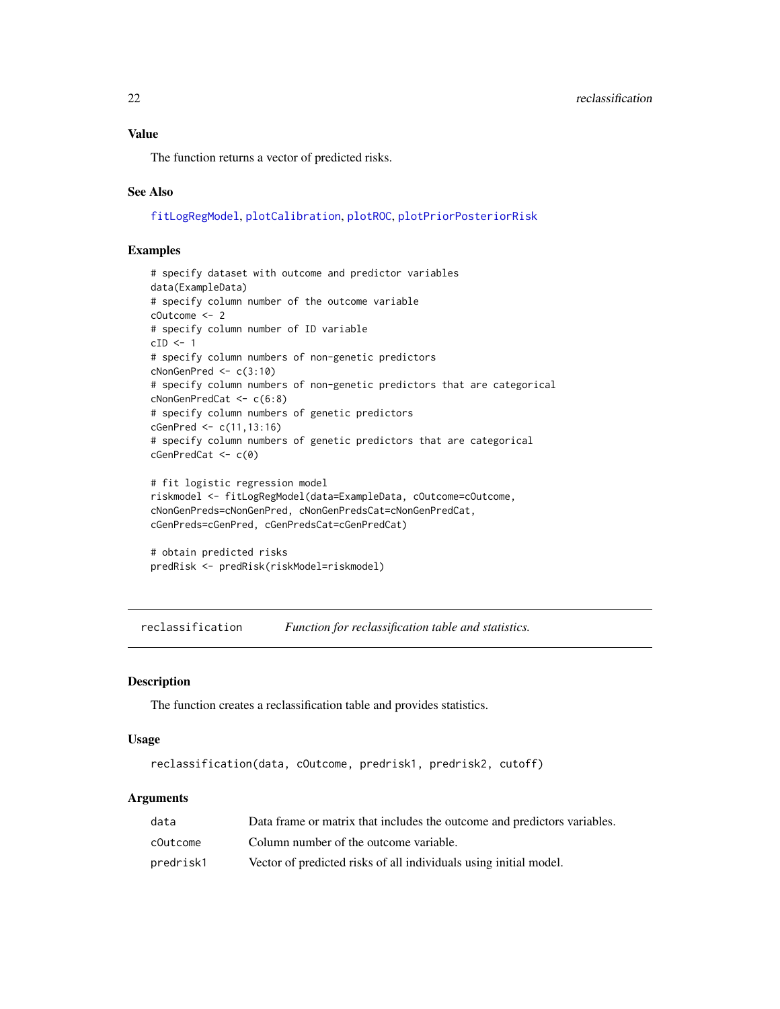# <span id="page-21-0"></span>Value

The function returns a vector of predicted risks.

# See Also

[fitLogRegModel](#page-5-1), [plotCalibration](#page-8-1), [plotROC](#page-18-1), [plotPriorPosteriorRisk](#page-13-1)

# Examples

```
# specify dataset with outcome and predictor variables
data(ExampleData)
# specify column number of the outcome variable
cOutcome <- 2
# specify column number of ID variable
cID \leftarrow 1# specify column numbers of non-genetic predictors
cNonGenPred <- c(3:10)
# specify column numbers of non-genetic predictors that are categorical
cNonGenPredCat <- c(6:8)
# specify column numbers of genetic predictors
cGenPred <- c(11,13:16)
# specify column numbers of genetic predictors that are categorical
cGenPredCat <- c(0)
# fit logistic regression model
riskmodel <- fitLogRegModel(data=ExampleData, cOutcome=cOutcome,
cNonGenPreds=cNonGenPred, cNonGenPredsCat=cNonGenPredCat,
cGenPreds=cGenPred, cGenPredsCat=cGenPredCat)
# obtain predicted risks
```
predRisk <- predRisk(riskModel=riskmodel)

<span id="page-21-1"></span>reclassification *Function for reclassification table and statistics.*

# Description

The function creates a reclassification table and provides statistics.

#### Usage

reclassification(data, cOutcome, predrisk1, predrisk2, cutoff)

| data      | Data frame or matrix that includes the outcome and predictors variables. |
|-----------|--------------------------------------------------------------------------|
| cOutcome  | Column number of the outcome variable.                                   |
| predrisk1 | Vector of predicted risks of all individuals using initial model.        |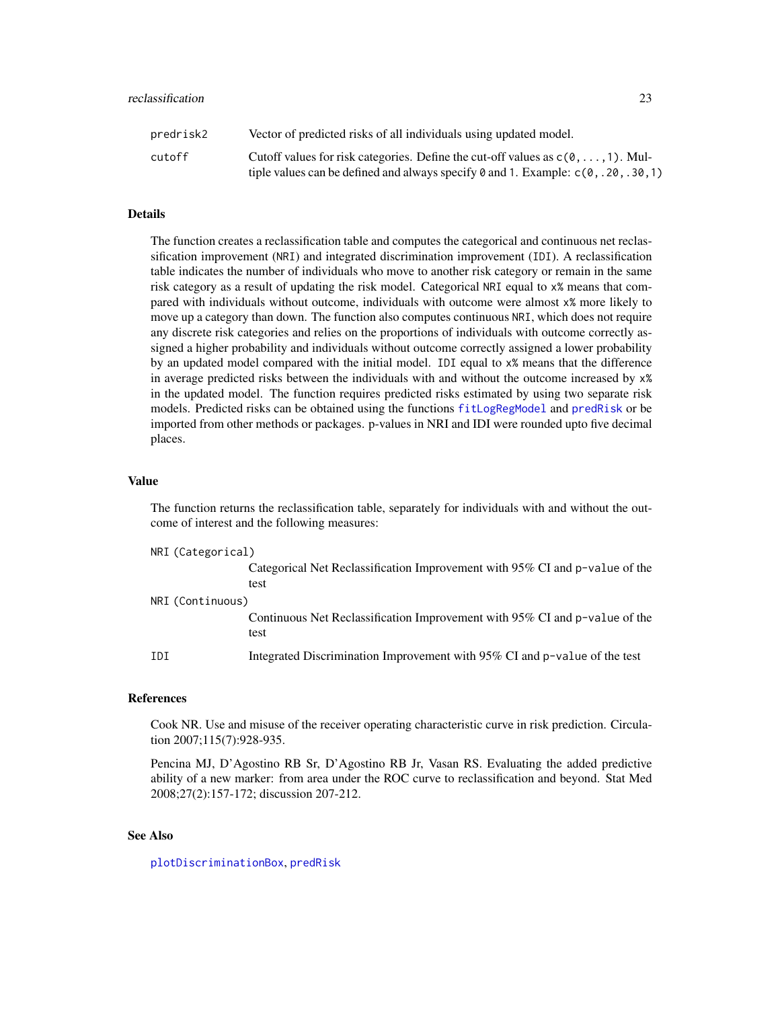#### <span id="page-22-0"></span>reclassification 23

| predrisk2 | Vector of predicted risks of all individuals using updated model.                                          |
|-----------|------------------------------------------------------------------------------------------------------------|
| cutoff    | Cutoff values for risk categories. Define the cut-off values as $c(0, \ldots, 1)$ . Mul-                   |
|           | tiple values can be defined and always specify $\theta$ and 1. Example: $c(\theta, .2\theta, .3\theta, 1)$ |

#### Details

The function creates a reclassification table and computes the categorical and continuous net reclassification improvement (NRI) and integrated discrimination improvement (IDI). A reclassification table indicates the number of individuals who move to another risk category or remain in the same risk category as a result of updating the risk model. Categorical NRI equal to x% means that compared with individuals without outcome, individuals with outcome were almost x% more likely to move up a category than down. The function also computes continuous NRI, which does not require any discrete risk categories and relies on the proportions of individuals with outcome correctly assigned a higher probability and individuals without outcome correctly assigned a lower probability by an updated model compared with the initial model. IDI equal to x% means that the difference in average predicted risks between the individuals with and without the outcome increased by x% in the updated model. The function requires predicted risks estimated by using two separate risk models. Predicted risks can be obtained using the functions [fitLogRegModel](#page-5-1) and [predRisk](#page-20-1) or be imported from other methods or packages. p-values in NRI and IDI were rounded upto five decimal places.

#### Value

The function returns the reclassification table, separately for individuals with and without the outcome of interest and the following measures:

```
NRI (Categorical)
```
Categorical Net Reclassification Improvement with 95% CI and p-value of the test

NRI (Continuous) Continuous Net Reclassification Improvement with 95% CI and p-value of the test IDI Integrated Discrimination Improvement with 95% CI and p-value of the test

# References

Cook NR. Use and misuse of the receiver operating characteristic curve in risk prediction. Circulation 2007;115(7):928-935.

Pencina MJ, D'Agostino RB Sr, D'Agostino RB Jr, Vasan RS. Evaluating the added predictive ability of a new marker: from area under the ROC curve to reclassification and beyond. Stat Med 2008;27(2):157-172; discussion 207-212.

# See Also

[plotDiscriminationBox](#page-10-1), [predRisk](#page-20-1)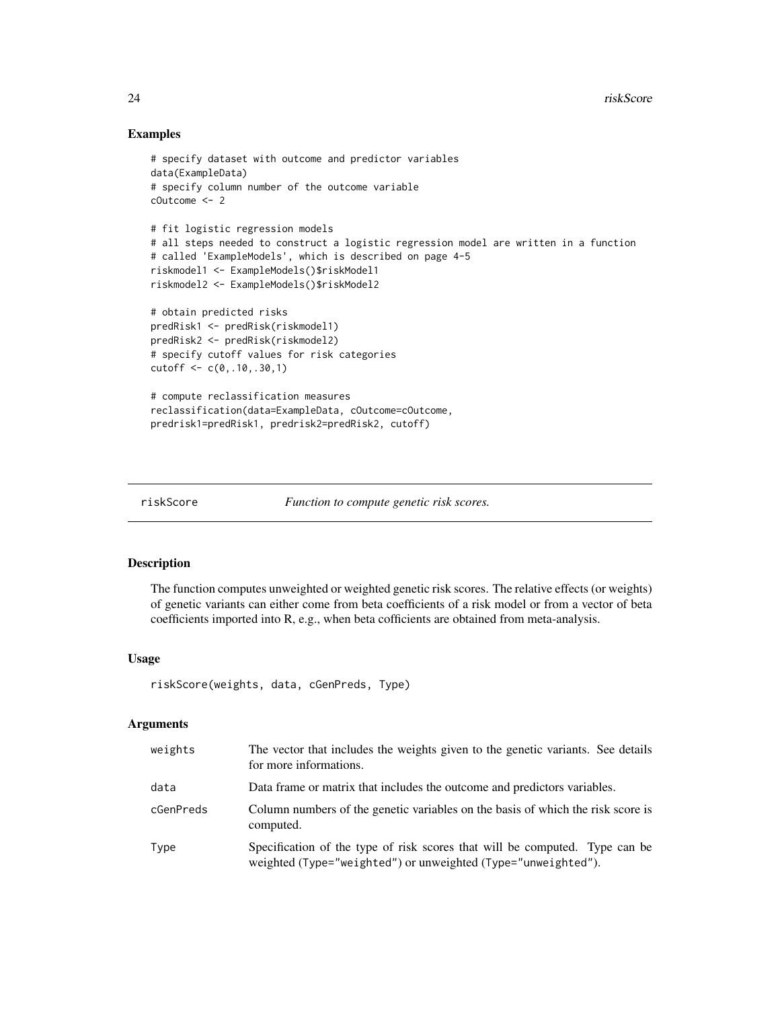# Examples

```
# specify dataset with outcome and predictor variables
data(ExampleData)
# specify column number of the outcome variable
cOutcome <- 2
# fit logistic regression models
# all steps needed to construct a logistic regression model are written in a function
# called 'ExampleModels', which is described on page 4-5
riskmodel1 <- ExampleModels()$riskModel1
riskmodel2 <- ExampleModels()$riskModel2
# obtain predicted risks
predRisk1 <- predRisk(riskmodel1)
predRisk2 <- predRisk(riskmodel2)
# specify cutoff values for risk categories
cutoff <- c(0,.10,.30,1)
# compute reclassification measures
reclassification(data=ExampleData, cOutcome=cOutcome,
predrisk1=predRisk1, predrisk2=predRisk2, cutoff)
```
<span id="page-23-1"></span>

```
riskScore Function to compute genetic risk scores.
```
#### Description

The function computes unweighted or weighted genetic risk scores. The relative effects (or weights) of genetic variants can either come from beta coefficients of a risk model or from a vector of beta coefficients imported into R, e.g., when beta cofficients are obtained from meta-analysis.

# Usage

```
riskScore(weights, data, cGenPreds, Type)
```

| weights   | The vector that includes the weights given to the genetic variants. See details<br>for more informations.                                    |
|-----------|----------------------------------------------------------------------------------------------------------------------------------------------|
| data      | Data frame or matrix that includes the outcome and predictors variables.                                                                     |
| cGenPreds | Column numbers of the genetic variables on the basis of which the risk score is<br>computed.                                                 |
| Type      | Specification of the type of risk scores that will be computed. Type can be<br>weighted (Type="weighted") or unweighted (Type="unweighted"). |

<span id="page-23-0"></span>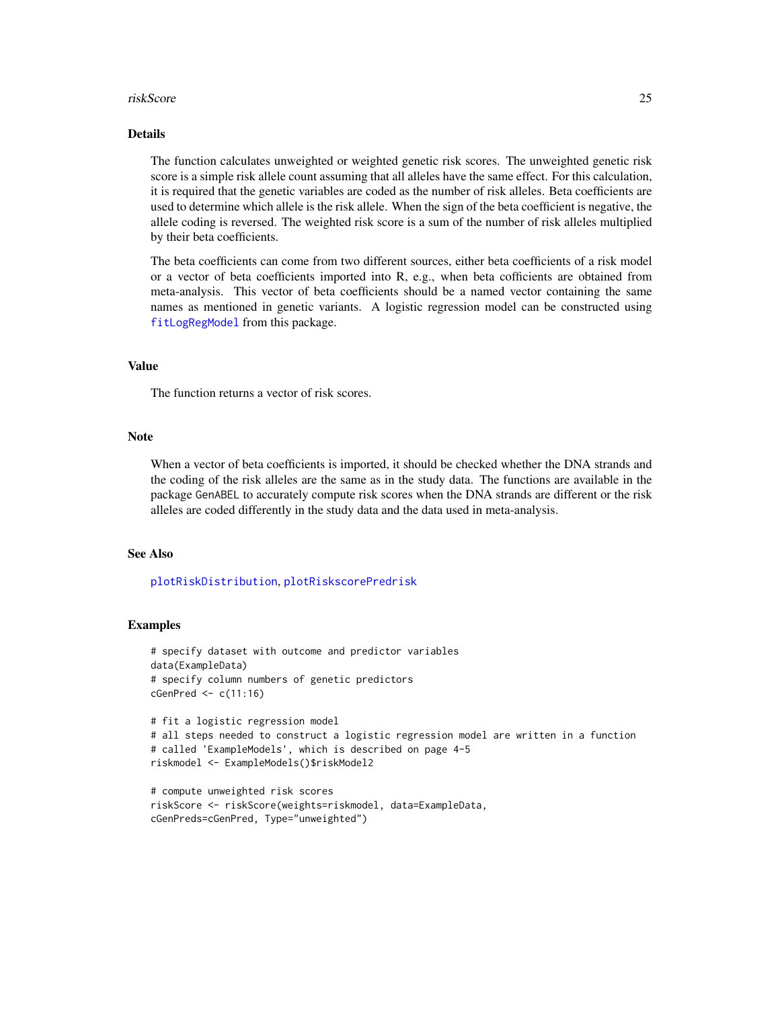#### <span id="page-24-0"></span>riskScore 25

# Details

The function calculates unweighted or weighted genetic risk scores. The unweighted genetic risk score is a simple risk allele count assuming that all alleles have the same effect. For this calculation, it is required that the genetic variables are coded as the number of risk alleles. Beta coefficients are used to determine which allele is the risk allele. When the sign of the beta coefficient is negative, the allele coding is reversed. The weighted risk score is a sum of the number of risk alleles multiplied by their beta coefficients.

The beta coefficients can come from two different sources, either beta coefficients of a risk model or a vector of beta coefficients imported into R, e.g., when beta cofficients are obtained from meta-analysis. This vector of beta coefficients should be a named vector containing the same names as mentioned in genetic variants. A logistic regression model can be constructed using [fitLogRegModel](#page-5-1) from this package.

# Value

The function returns a vector of risk scores.

#### Note

When a vector of beta coefficients is imported, it should be checked whether the DNA strands and the coding of the risk alleles are the same as in the study data. The functions are available in the package GenABEL to accurately compute risk scores when the DNA strands are different or the risk alleles are coded differently in the study data and the data used in meta-analysis.

# See Also

[plotRiskDistribution](#page-15-1), [plotRiskscorePredrisk](#page-17-1)

```
# specify dataset with outcome and predictor variables
data(ExampleData)
# specify column numbers of genetic predictors
cGenPred \leftarrow c(11:16)# fit a logistic regression model
# all steps needed to construct a logistic regression model are written in a function
# called 'ExampleModels', which is described on page 4-5
riskmodel <- ExampleModels()$riskModel2
# compute unweighted risk scores
```

```
riskScore <- riskScore(weights=riskmodel, data=ExampleData,
cGenPreds=cGenPred, Type="unweighted")
```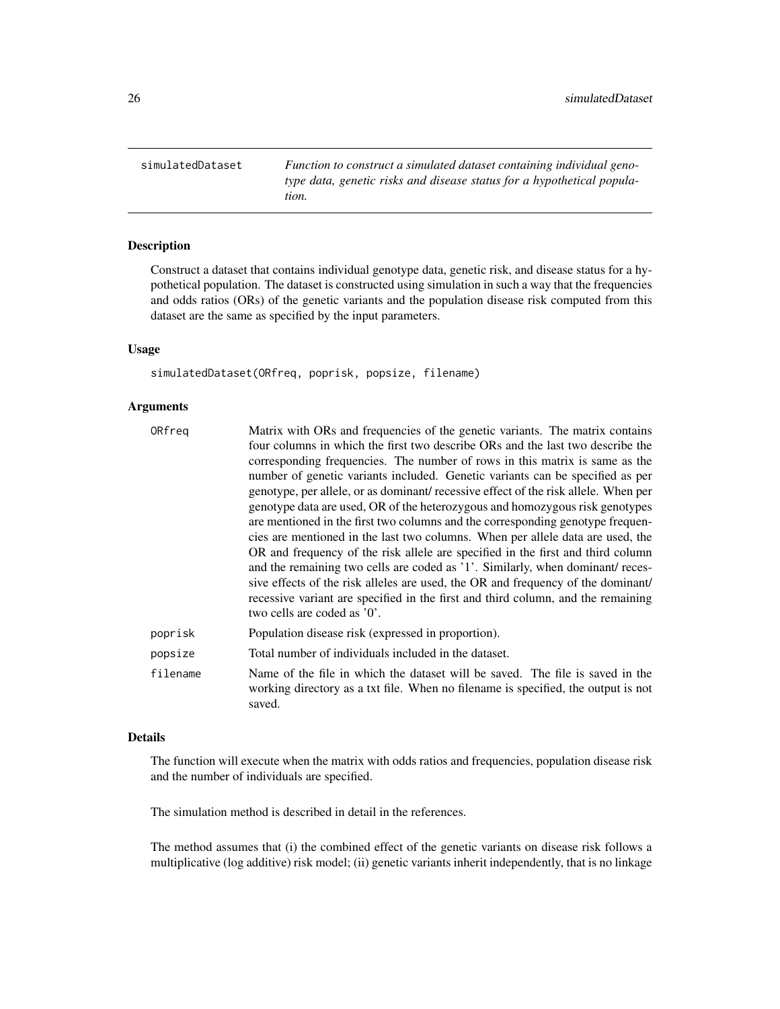<span id="page-25-0"></span>simulatedDataset *Function to construct a simulated dataset containing individual genotype data, genetic risks and disease status for a hypothetical population.*

# Description

Construct a dataset that contains individual genotype data, genetic risk, and disease status for a hypothetical population. The dataset is constructed using simulation in such a way that the frequencies and odds ratios (ORs) of the genetic variants and the population disease risk computed from this dataset are the same as specified by the input parameters.

# Usage

simulatedDataset(ORfreq, poprisk, popsize, filename)

# Arguments

| ORfreq   | Matrix with ORs and frequencies of the genetic variants. The matrix contains                                                                                                 |
|----------|------------------------------------------------------------------------------------------------------------------------------------------------------------------------------|
|          | four columns in which the first two describe ORs and the last two describe the                                                                                               |
|          | corresponding frequencies. The number of rows in this matrix is same as the                                                                                                  |
|          | number of genetic variants included. Genetic variants can be specified as per                                                                                                |
|          | genotype, per allele, or as dominant/recessive effect of the risk allele. When per                                                                                           |
|          | genotype data are used, OR of the heterozygous and homozygous risk genotypes                                                                                                 |
|          | are mentioned in the first two columns and the corresponding genotype frequen-                                                                                               |
|          | cies are mentioned in the last two columns. When per allele data are used, the                                                                                               |
|          | OR and frequency of the risk allele are specified in the first and third column                                                                                              |
|          | and the remaining two cells are coded as '1'. Similarly, when dominant/ reces-                                                                                               |
|          | sive effects of the risk alleles are used, the OR and frequency of the dominant/                                                                                             |
|          | recessive variant are specified in the first and third column, and the remaining                                                                                             |
|          | two cells are coded as '0'.                                                                                                                                                  |
| poprisk  | Population disease risk (expressed in proportion).                                                                                                                           |
| popsize  | Total number of individuals included in the dataset.                                                                                                                         |
| filename | Name of the file in which the dataset will be saved. The file is saved in the<br>working directory as a txt file. When no filename is specified, the output is not<br>saved. |

# Details

The function will execute when the matrix with odds ratios and frequencies, population disease risk and the number of individuals are specified.

The simulation method is described in detail in the references.

The method assumes that (i) the combined effect of the genetic variants on disease risk follows a multiplicative (log additive) risk model; (ii) genetic variants inherit independently, that is no linkage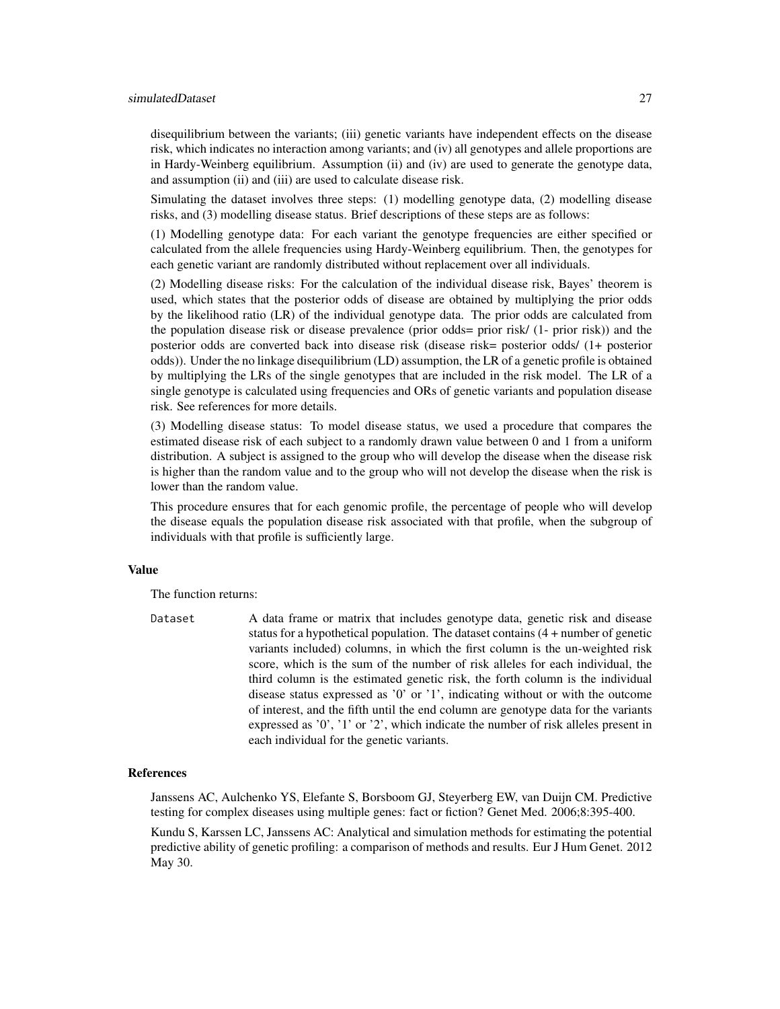#### simulatedDataset 27

disequilibrium between the variants; (iii) genetic variants have independent effects on the disease risk, which indicates no interaction among variants; and (iv) all genotypes and allele proportions are in Hardy-Weinberg equilibrium. Assumption (ii) and (iv) are used to generate the genotype data, and assumption (ii) and (iii) are used to calculate disease risk.

Simulating the dataset involves three steps: (1) modelling genotype data, (2) modelling disease risks, and (3) modelling disease status. Brief descriptions of these steps are as follows:

(1) Modelling genotype data: For each variant the genotype frequencies are either specified or calculated from the allele frequencies using Hardy-Weinberg equilibrium. Then, the genotypes for each genetic variant are randomly distributed without replacement over all individuals.

(2) Modelling disease risks: For the calculation of the individual disease risk, Bayes' theorem is used, which states that the posterior odds of disease are obtained by multiplying the prior odds by the likelihood ratio (LR) of the individual genotype data. The prior odds are calculated from the population disease risk or disease prevalence (prior odds= prior risk/ (1- prior risk)) and the posterior odds are converted back into disease risk (disease risk= posterior odds/ (1+ posterior odds)). Under the no linkage disequilibrium (LD) assumption, the LR of a genetic profile is obtained by multiplying the LRs of the single genotypes that are included in the risk model. The LR of a single genotype is calculated using frequencies and ORs of genetic variants and population disease risk. See references for more details.

(3) Modelling disease status: To model disease status, we used a procedure that compares the estimated disease risk of each subject to a randomly drawn value between 0 and 1 from a uniform distribution. A subject is assigned to the group who will develop the disease when the disease risk is higher than the random value and to the group who will not develop the disease when the risk is lower than the random value.

This procedure ensures that for each genomic profile, the percentage of people who will develop the disease equals the population disease risk associated with that profile, when the subgroup of individuals with that profile is sufficiently large.

# Value

The function returns:

Dataset A data frame or matrix that includes genotype data, genetic risk and disease status for a hypothetical population. The dataset contains (4 + number of genetic variants included) columns, in which the first column is the un-weighted risk score, which is the sum of the number of risk alleles for each individual, the third column is the estimated genetic risk, the forth column is the individual disease status expressed as '0' or '1', indicating without or with the outcome of interest, and the fifth until the end column are genotype data for the variants expressed as '0', '1' or '2', which indicate the number of risk alleles present in each individual for the genetic variants.

# References

Janssens AC, Aulchenko YS, Elefante S, Borsboom GJ, Steyerberg EW, van Duijn CM. Predictive testing for complex diseases using multiple genes: fact or fiction? Genet Med. 2006;8:395-400.

Kundu S, Karssen LC, Janssens AC: Analytical and simulation methods for estimating the potential predictive ability of genetic profiling: a comparison of methods and results. Eur J Hum Genet. 2012 May 30.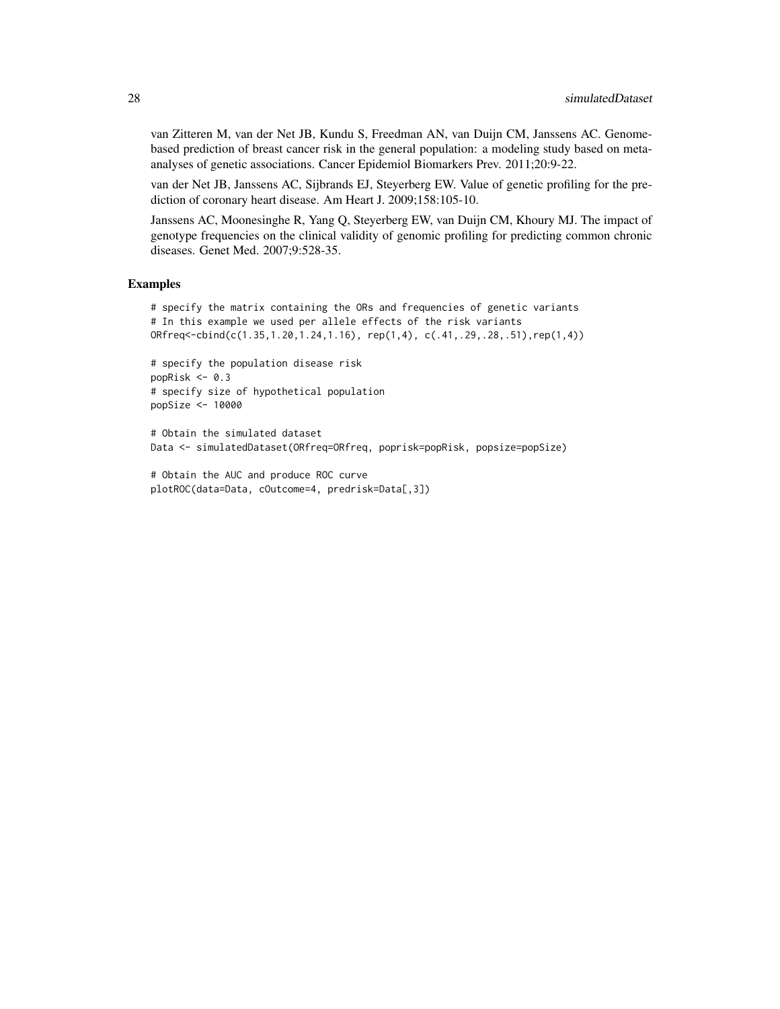van Zitteren M, van der Net JB, Kundu S, Freedman AN, van Duijn CM, Janssens AC. Genomebased prediction of breast cancer risk in the general population: a modeling study based on metaanalyses of genetic associations. Cancer Epidemiol Biomarkers Prev. 2011;20:9-22.

van der Net JB, Janssens AC, Sijbrands EJ, Steyerberg EW. Value of genetic profiling for the prediction of coronary heart disease. Am Heart J. 2009;158:105-10.

Janssens AC, Moonesinghe R, Yang Q, Steyerberg EW, van Duijn CM, Khoury MJ. The impact of genotype frequencies on the clinical validity of genomic profiling for predicting common chronic diseases. Genet Med. 2007;9:528-35.

#### Examples

```
# specify the matrix containing the ORs and frequencies of genetic variants
# In this example we used per allele effects of the risk variants
ORfreq <-cbind(c(1.35, 1.20, 1.24, 1.16), rep(1,4), c(.41, .29, .28, .51), rep(1,4))
```

```
# specify the population disease risk
popRisk <- 0.3
# specify size of hypothetical population
popSize <- 10000
```
# Obtain the simulated dataset Data <- simulatedDataset(ORfreq=ORfreq, poprisk=popRisk, popsize=popSize)

```
# Obtain the AUC and produce ROC curve
plotROC(data=Data, cOutcome=4, predrisk=Data[,3])
```